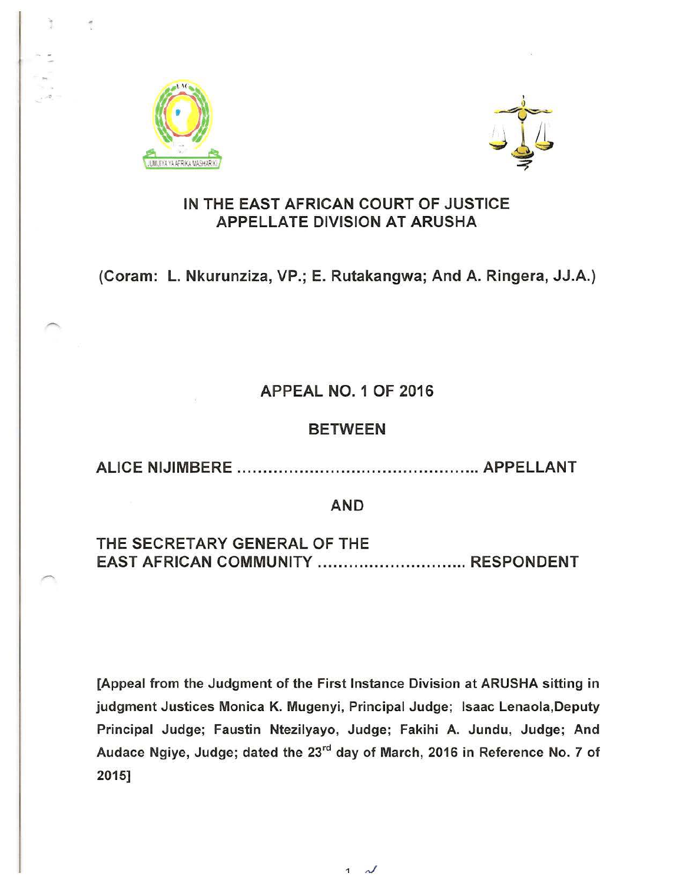



#### IN THE EAST AFRICAN COURT OF JUSTICE **APPELLATE DIVISION AT ARUSHA**

## (Coram: L. Nkurunziza, VP.; E. Rutakangwa; And A. Ringera, JJ.A.)

## APPEAL NO. 1 OF 2016

#### BETWEEN

ALICE NIJIMBERE ............................................... APPELLANT

#### AND

## THE SECRETARY GENERAL OF THE EAST AFRICAN COMMUNITY ................................. RESPONDENT

[Appeal from the Judgment of the First Instance Division at ARUSHA sitting in judgment Justices Monica K. Mugenyi, Principal Judge; Isaac Lenaola,Deputy Principal Judge; Faustin Ntezilyayo, Judge; Fakihi A. Jundu, Judge; And Audace Ngiye, Judge; dated the 23<sup>rd</sup> day of March, 2016 in Reference No. 7 of 2015]

1  $\lambda$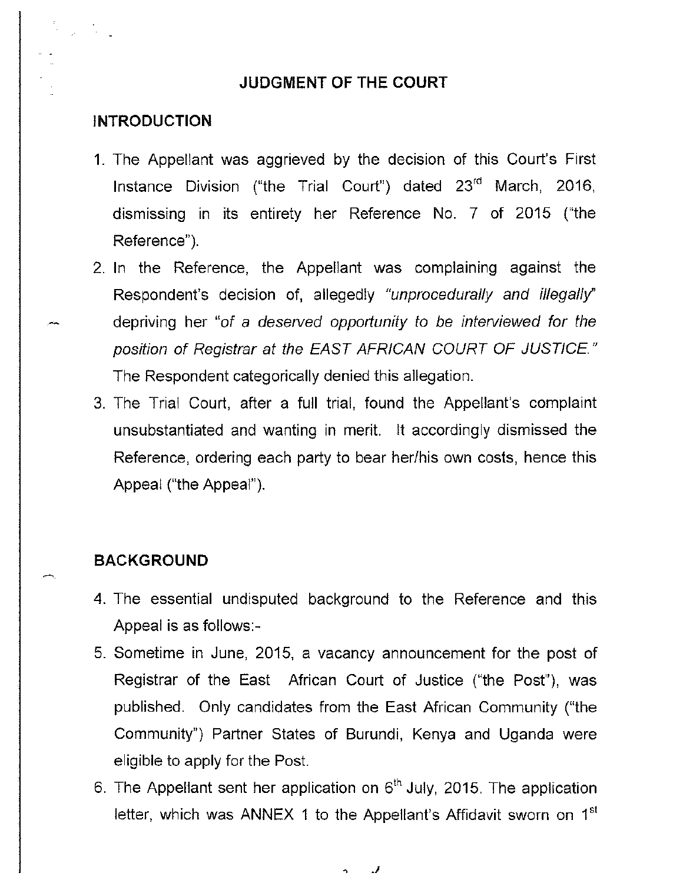#### **JUDGMENT OF THE COURT**

#### **INTRODUCTION**

- 1. The Appellant was aggrieved by the decision of this Court's First Instance Division ("the Trial Court") dated  $23<sup>rd</sup>$  March, 2016, dismissing in its entirety her Reference No. 7 of 2015 ("the Reference").
- 2. In the Reference, the Appellant was complaining against the Respondent's decision of, allegedly "unprocedurally and illegally" depriving her "of a deserved opportunity to be interviewed for the position of Registrar at the EAST AFRICAN COURT OF JUSTICE." The Respondent categorically denied this allegation.
- 3. The Trial Court, after a full trial, found the Appellant's complaint unsubstantiated and wanting in merit. It accordingly dismissed the Reference, ordering each party to bear her/his own costs, hence this Appeal ("the Appeal").

#### **BACKGROUND**

- 4. The essential undisputed background to the Reference and this Appeal is as follows:-
- 5. Sometime in June, 2015, a vacancy announcement for the post of Registrar of the East African Court of Justice ("the Post"), was published. Only candidates from the East African Community ("the Community") Partner States of Burundi, Kenya and Uganda were eligible to apply for the Post.
- 6. The Appellant sent her application on  $6<sup>th</sup>$  July, 2015. The application letter, which was ANNEX 1 to the Appellant's Affidavit sworn on 1st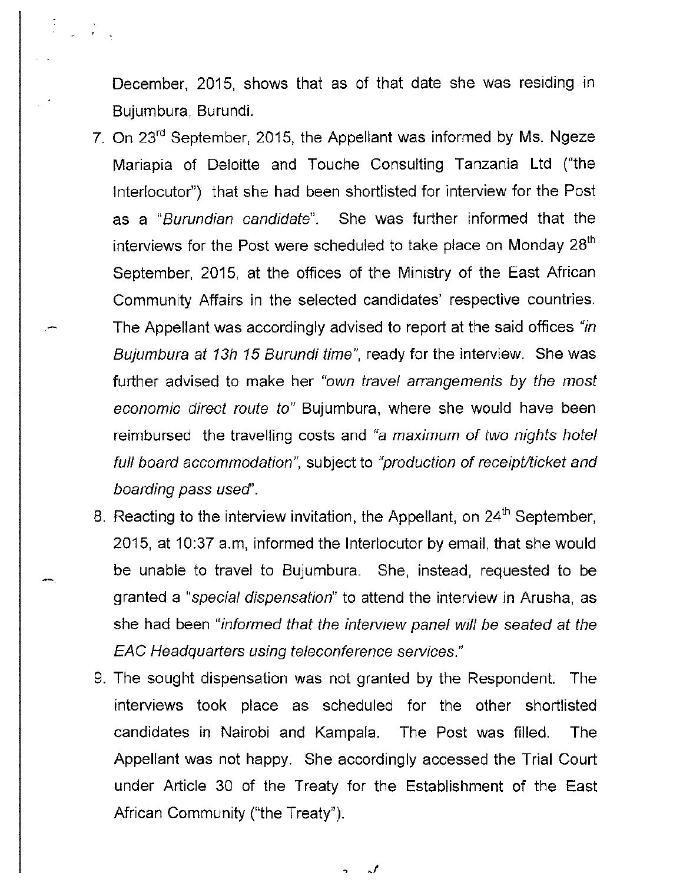December, 2015, shows that as of that date she was residing in Bujumbura, Burundi.

- 7. On 23'd September, 2015, the Appellant was informed by Ms. Ngeze Mariapia of Deloitte and Touche Consulting Tanzania Ltd ("the Interlocutor") that she had been shortlisted for interview for the Post as a "Burundian candidate". She was further informed that the interviews for the Post were scheduled to take place on Monday  $28<sup>th</sup>$ September, 2015, at the offices of the Ministry of the East African Community Affairs in the selected candidates' respective countries. The Appellant was accordingly advised to report at the said offices "in Bujumbura at 13h 15 Burundi time", ready for the interview. She was further advised to make her "own travel arrangements by the most economic direct route to" Bujumbura, where she would have been reimbursed the travelling costs and "a maximum of two nights hotel full board accommodation", subject to "production of receipt/ticket and boarding pass used'.
- 8. Reacting to the interview invitation, the Appellant, on  $24<sup>th</sup>$  September, 2015, at 10:37 a.m, informed the Interlocutor by email, that she would be unable to travel to Bujumbura. She, instead, requested to be granted a "special dispensation" to attend the interview in Arusha, as she had been "informed that the interview panel will be seated at the EAC Headquarters using teleconference services."
- 9. The sought dispensation was not granted by the Respondent. The interviews took place as scheduled for the other shortlisted candidates in Nairobi and Kampala. The Post was filled. The Appellant was not happy. She accordingly accessed the Trial Court under Article 30 of the Treaty for the Establishment of the East African Community ("the Treaty").

 $\mathcal{L}$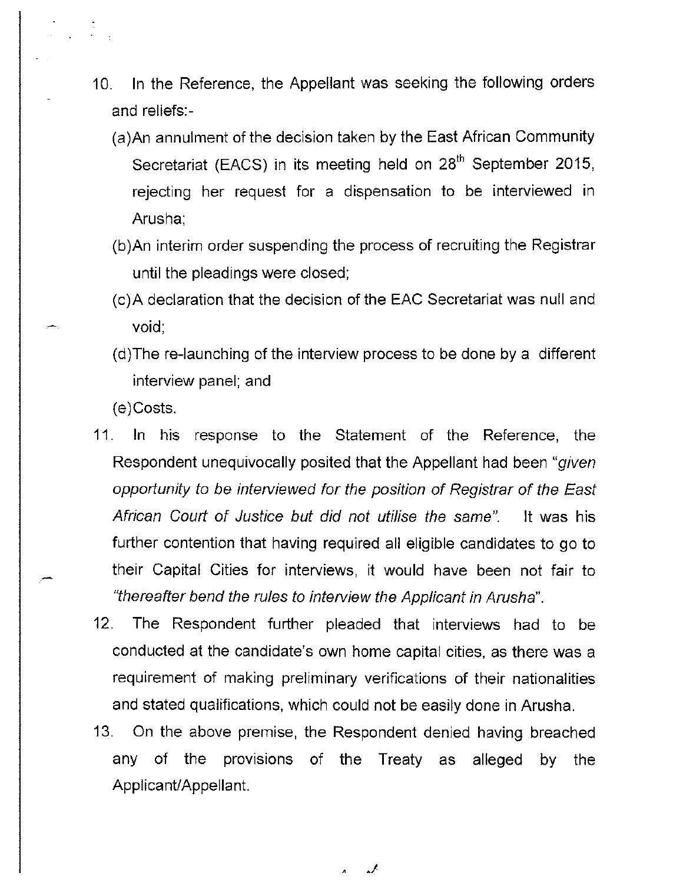- 10. In the Reference, the Appellant was seeking the following orders and reliefs:-
	- (a)An annulment of the decision taken by the East African Community Secretariat (EACS) in its meeting held on 28<sup>th</sup> September 2015, rejecting her request for a dispensation to be interviewed in Arusha;
	- (b )An interim order suspending the process of recruiting the Registrar until the pleadings were closed;
	- (c)A declaration that the decision of the EAC Secretariat was null and void;
	- (d)The re-launching of the interview process to be done by a different interview panel; and

(e)Costs.

- 11. In his response to the Statement of the Reference, the Respondent unequivocally posited that the Appellant had been "given opportunity to be interviewed for the position of Registrar of the East African Court of Justice but did not utilise the same". It was his further contention that having required all eligible candidates to go to their Capital Cities for interviews, it would have been not fair to "thereafter bend the rules to interview the Applicant in Arusha".
- 12. The Respondent further pleaded that interviews had to be conducted at the candidate's own home capital cities, as there was a requirement of making preliminary verifications of their nationalities and stated qualifications, which could not be easily done in Arusha.
- 13. On the above premise, the Respondent denied having breached any of the provisions of the Treaty as alleged Applicant/Appellant. by the

گە Λ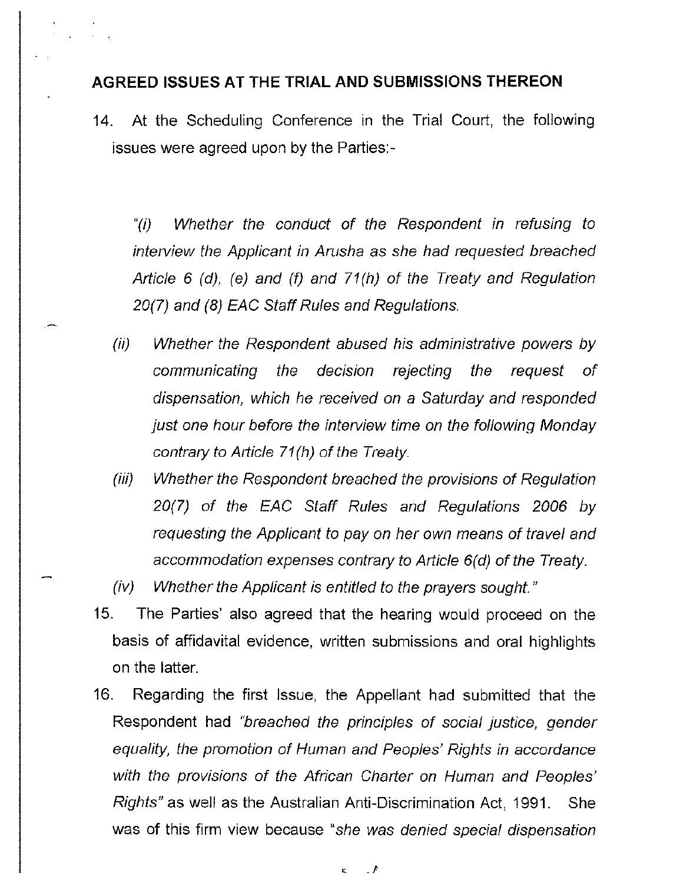#### **AGREED ISSUES AT THE TRIAL AND SUBMISSIONS THEREON**

14. At the Scheduling Conference in the Trial Court, the following issues were agreed upon by the Parties:-

"(i) Whether the conduct of the Respondent in refusing to interview the Applicant in Arusha as she had requested breached Article 6 (d), (e) and (f) and 71(h) of the Treaty and Regulation 20(7) and (8) EAC Staff Rules and Regulations.

- (ii) Whether the Respondent abused his administrative powers by communicating the decision rejecting the request of dispensation, which he received on a Saturday and responded just one hour before the interview time on the following Monday contrary to Article  $71(h)$  of the Treaty.
- (iii) Whether the Respondent breached the provisions of Regulation 20(7) of the EAC Staff Rules and Regulations 2006 by requesting the Applicant to pay on her own means of travel and accommodation expenses contrary to Article 6(d) of the Treaty.
- (iv) Whether the Applicant is entitled to the prayers sought."
- 15. The Parties' also agreed that the hearing would proceed on the basis of affidavital evidence, written submissions and oral highlights on the latter.
- 16. Regarding the first Issue, the Appellant had submitted that the Respondent had "breached the principles of social justice, gender equality, the promotion of Human and Peoples' Rights in accordance with the provisions of the African Charter on Human and Peoples' Rights" as well as the Australian Anti-Discrimination Act, 1991. She was of this firm view because "she was denied special dispensation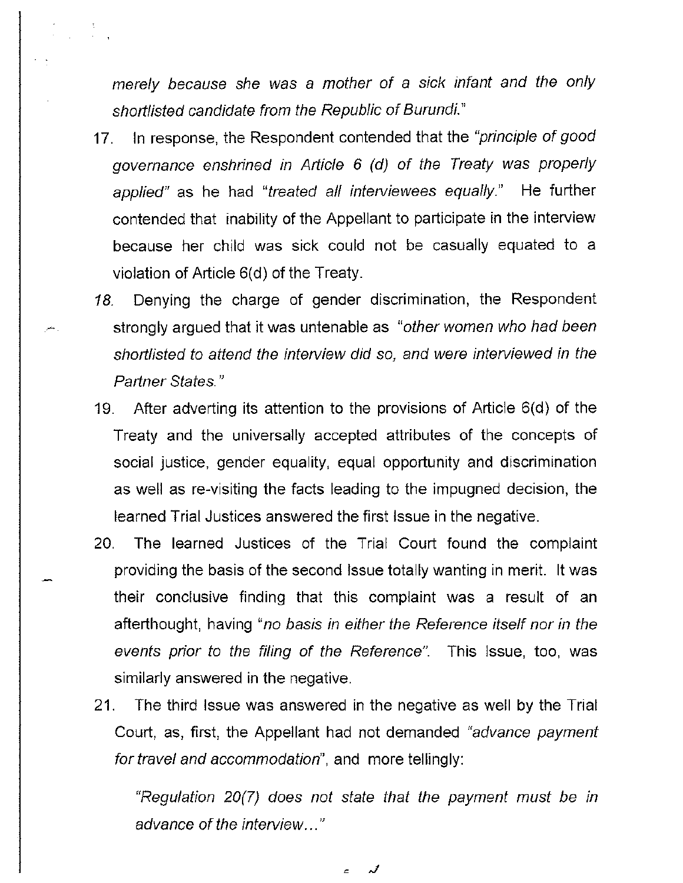merely because she was a mother of a sick infant and the only shortlisted candidate from the Republic of Burundi."

- 17. In response, the Respondent contended that the "principle of good governance enshrined in Article 6 (d) of the Treaty was properly applied" as he had "treated all interviewees equally." He further contended that inability of the Appellant to participate in the interview because her child was sick could not be casually equated to a violation of Article 6(d) of the Treaty.
- 18. Denying the charge of gender discrimination, the Respondent strongly argued that it was untenable as "other women who had been shortlisted to attend the interview did so, and were interviewed in the Partner States."
- 19. After adverting its attention to the provisions of Article 6(d) of the Treaty and the universally accepted attributes of the concepts of social justice, gender equality, equal opportunity and discrimination as well as re-visiting the facts leading to the impugned decision, the learned Trial Justices answered the first Issue in the negative.
- 20. The learned Justices of the Trial Court found the complaint providing the basis of the second Issue totally wanting in merit. It was their conclusive finding that this complaint was a result of an afterthought, having "no basis in either the Reference itself nor in the events prior to the filing of the Reference". This Issue, too, was similarly answered in the negative.
- 21. The third Issue was answered in the negative as well by the Trial Court, as, first, the Appellant had not demanded "advance payment for travel and accommodation", and more tellingly:

"Regulation  $20(7)$  does not state that the payment must be in advance of the interview..."

 $\epsilon$  ,  $\lambda$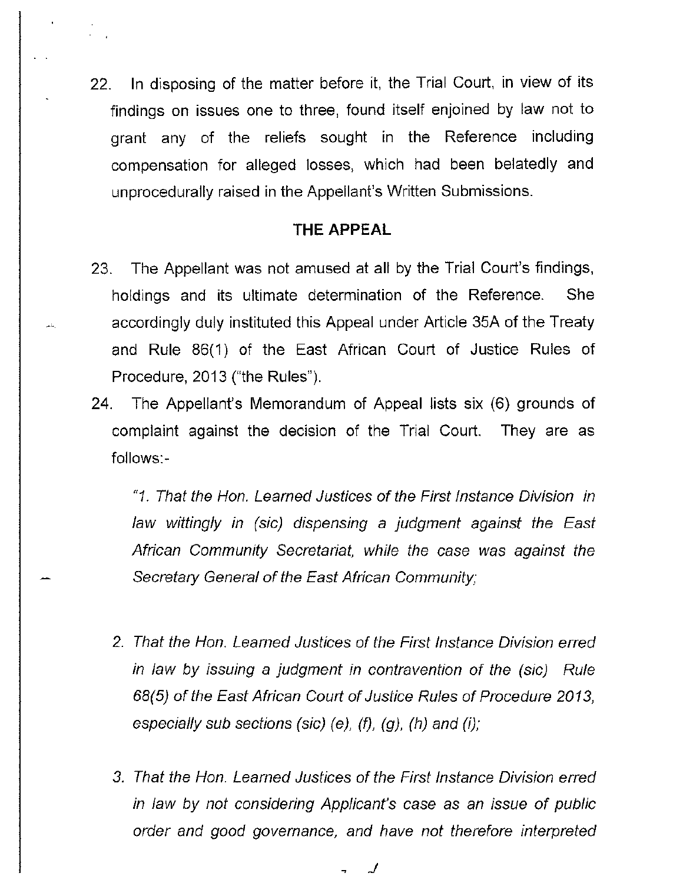22. In disposing of the matter before it, the Trial Court, in view of its findings on issues one to three, found itself enjoined by law not to grant any of the reliefs sought in the Reference including compensation for alleged losses, which had been belatedly and unprocedurally raised in the Appellant's Written Submissions.

#### **THE APPEAL**

23. The Appellant was not amused at all by the Trial Court's findings, holdings and its ultimate determination of the Reference. She accordingly duly instituted this Appeal under Article 35A of the Treaty and Rule 86(1) of the East African Court of Justice Rules of Procedure, 2013 ("the Rules").

لمأجر

24. The Appellant's Memorandum of Appeal lists six (6) grounds of complaint against the decision of the Trial Court. They are as follows:-

"1. That the Hon. Learned Justices of the First Instance Division in law wittingly in (sic) dispensing a judgment against the East African Community Secretariat, while the case was against the Secretary General of the East African Community;

- 2. That the Hon. Learned Justices of the First Instance Division erred in law by issuing a judgment in contravention of the (sic) Rule 68(5) of the East African Court of Justice Rules of Procedure 2013, especially sub sections (sic) (e), (f), (g), (h) and (i);
- 3. That the Hon. Learned Justices of the First Instance Division erred in law by not considering Applicant's case as an issue of public order and good governance, and have not therefore interpreted

, \_/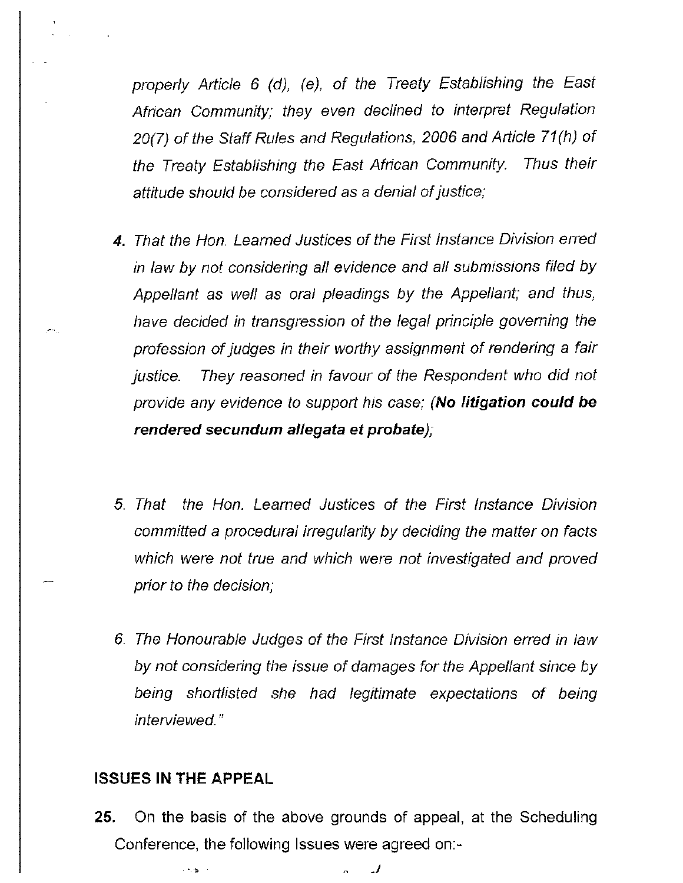properly Article 6 (d), (e), of the Treaty Establishing the East African Community; they even declined to interpret Regulation 20(7) of the Staff Rules and Regulations, 2006 and Article 71(h) of the Treaty Establishing the East African Community. Thus their attitude should be considered as a denial of justice;

- **4.** That the Hon. Learned Justices of the First Instance Division erred in law by not considering all evidence and all submissions filed by Appellant as well as oral pleadings by the Appellant; and thus, have decided in transgression of the legal principle governing the profession of judges in their worthy assignment of rendering a fair justice. They reasoned in favour of the Respondent who did not provide any evidence to support his case; **(No litigation could be rendered secundum allegata et probate);**
- 5. That the Hon. Learned Justices of the First Instance Division committed a procedural irregularity by deciding the matter on facts which were not true and which were not investigated and proved prior to the decision;
- 6. The Honourable Judges of the First Instance Division erred in law by not considering the issue of damages for the Appellant since by being shortlisted she had legitimate expectations of being interviewed."

#### **ISSUES IN THE APPEAL**

**25. On the** basis of the above grounds of appeal, at the Scheduling Conference, **the** following **Issues** were agreed on:-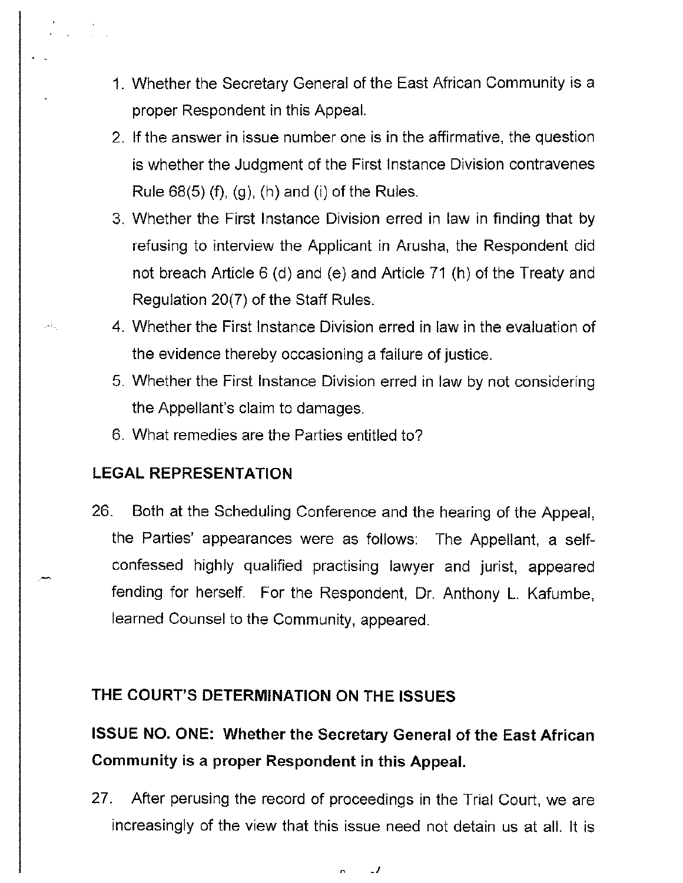- 1. Whether the Secretary General of the East African Community is a proper Respondent in this Appeal.
- 2. If the answer in issue number one is in the affirmative, the question is whether the Judgment of the First Instance Division contravenes Rule  $68(5)$  (f), (g), (h) and (i) of the Rules.
- 3. Whether the First Instance Division erred in law in finding that by refusing to interview the Applicant in Arusha, the Respondent did not breach Article 6 (d) and (e) and Article 71 (h) of the Treaty and Regulation 20(7) of the Staff Rules.
- 4. Whether the First Instance Division erred in law in the evaluation of the evidence thereby occasioning a failure of justice.
- 5. Whether the First Instance Division erred in law by not considering the Appellant's claim to damages.
- 6. What remedies are the Parties entitled to?

## **LEGAL REPRESENTATION**

26. Both at the Scheduling Conference and the hearing of the Appeal, the Parties' appearances were as follows: The Appellant, a selfconfessed highly qualified practising lawyer and jurist, appeared fending for herself. For the Respondent, Dr. Anthony L. Kafumbe, learned Counsel to the Community, appeared.

### **THE COURT'S DETERMINATION ON THE ISSUES**

## **ISSUE NO. ONE: Whether the Secretary General of the East African Community is a proper Respondent in this Appeal.**

27. After perusing the record of proceedings in the Trial Court, we are increasingly of the view that this issue need not detain us at all. It is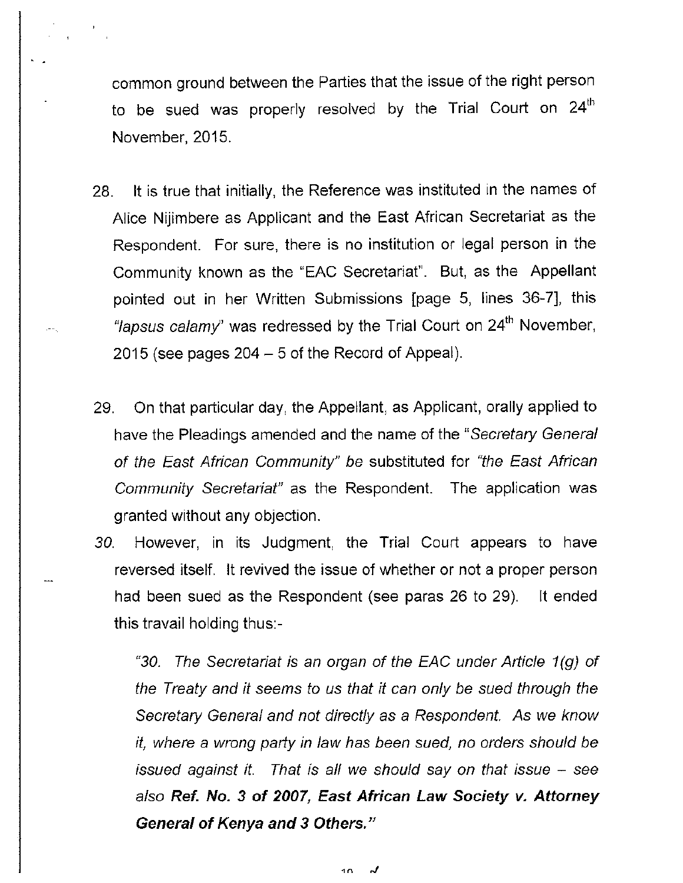common ground between the Parties that the issue of the right person to be sued was properly resolved by the Trial Court on 24<sup>th</sup> November, 2015.

- 28. It is true that initially, the Reference was instituted in the names of Alice Nijimbere as Applicant and the East African Secretariat as the Respondent. For sure, there is no institution or legal person in the Community known as the "EAC Secretariat". But, as the Appellant pointed out in her Written Submissions [page 5, lines 36-7], this "lapsus calamy" was redressed by the Trial Court on 24<sup>th</sup> November, 2015 (see pages  $204 - 5$  of the Record of Appeal).
- 29. On that particular day, the Appellant, as Applicant, orally applied to have the Pleadings amended and the name of the "Secretary General of the East African Community" be substituted for "the East African Community Secretariat" as the Respondent. The application was granted without any objection.
- 30. However, in its Judgment, the Trial Court appears to have reversed itself. It revived the issue of whether or not a proper person had been sued as the Respondent (see paras 26 to 29). It ended this travail holding thus:-

"30. The Secretariat is an organ of the EAC under Article  $1(q)$  of the Treaty and it seems to us that it can only be sued through the Secretary General and not directly as a Respondent. As we know it, where a wrong patty in law has been sued, no orders should be issued against it. That is all we should say on that issue  $-$  see also **Ref. No. 3 of 2007, East African Law Society v. Attorney General of Kenya and 3 Others."** 

> گہ 10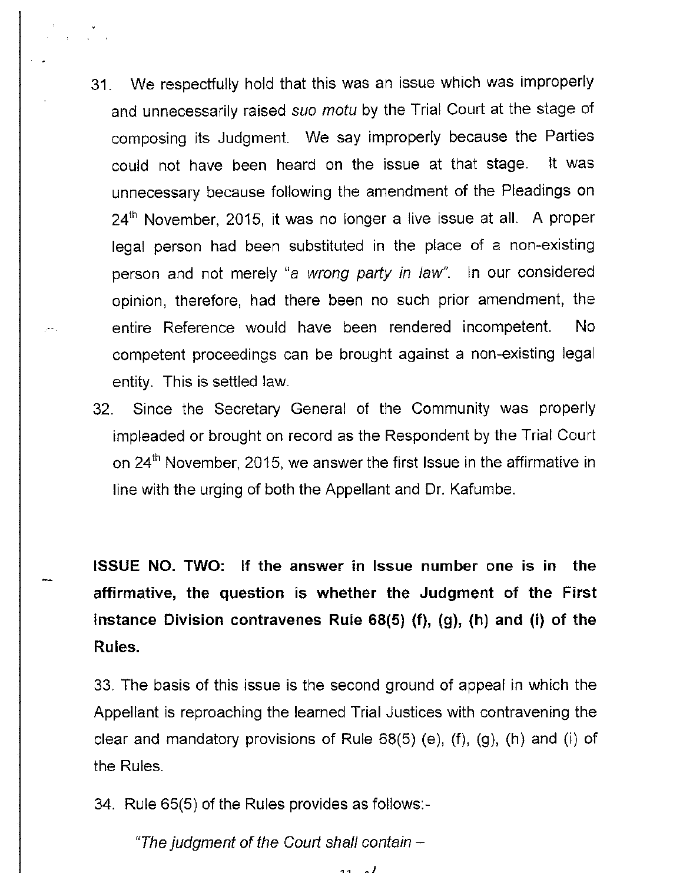- 31. We respectfully hold that this was an issue which was improperly and unnecessarily raised suo motu by the Trial Court at the stage of composing its Judgment. We say improperly because the Parties could not have been heard on the issue at that stage. It was unnecessary because following the amendment of the Pleadings on 24<sup>th</sup> November, 2015, it was no longer a live issue at all. A proper legal person had been substituted in the place of a non-existing person and not merely "a wrong party in law". In our considered opinion, therefore, had there been no such prior amendment, the entire Reference would have been rendered incompetent. No competent proceedings can be brought against a non-existing legal entity. This is settled law.
- 32. Since the Secretary General of the Community was properly impleaded or brought on record as the Respondent by the Trial Court on 24<sup>th</sup> November, 2015, we answer the first Issue in the affirmative in line with the urging of both the Appellant and Dr. Kafumbe.

**ISSUE NO. TWO: If the answer in Issue number one is in the affirmative, the question is whether the Judgment of the First Instance Division contravenes Rule 68(5) (f), (g), (h) and (i) of the Rules.** 

33. The basis of this issue is the second ground of appeal in which the Appellant is reproaching the learned Trial Justices with contravening the clear and mandatory provisions of Rule 68(5) (e), (f), (g), (h) and (i) of the Rules.

34. Rule 65(5) of the Rules provides as follows:-

"The judgment of the Court shall contain  $-$ 

 $\ddot{\phantom{0}}$  $\lambda$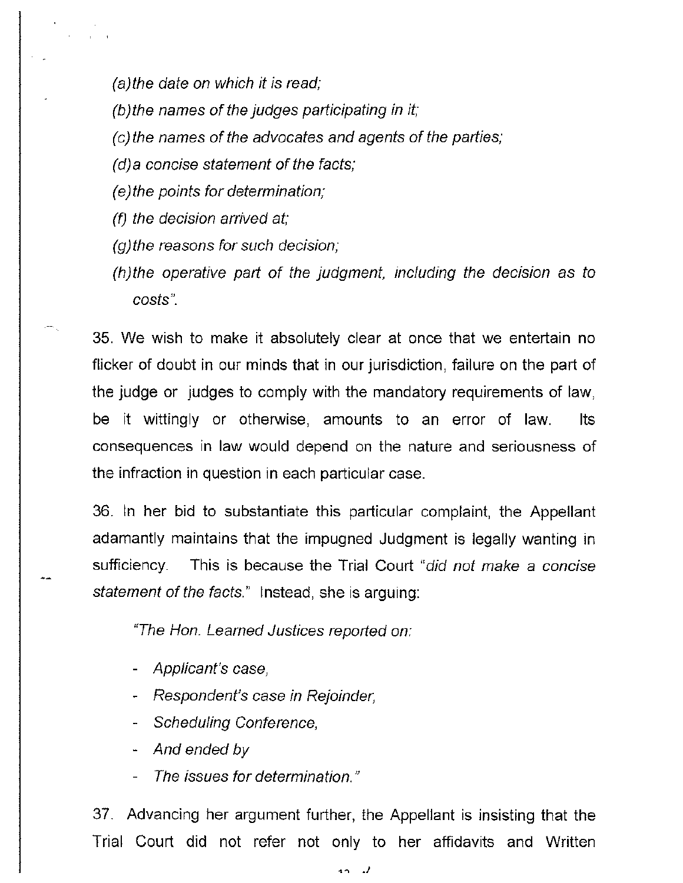(a)the date on which it is read;

- $(b)$  the names of the judges participating in it;
- (c)the names of the advocates and agents of the parties;
- $(d)$  a concise statement of the facts;
- (e) the points for determination;
- (f) the decision arrived at;
- (g)the reasons for such decision;
- (h)the operative part of the judgment, including the decision as to costs".

35. We wish to make it absolutely clear at once that we entertain no flicker of doubt in our minds that in our jurisdiction, failure on the part of the judge or judges to comply with the mandatory requirements of law, be it wittingly or otherwise, amounts to an error of law. Its consequences in law would depend on the nature and seriousness of the infraction in question in each particular case.

36. In her bid to substantiate this particular complaint, the Appellant adamantly maintains that the impugned Judgment is legally wanting in sufficiency. This is because the Trial Court "did not make a concise statement of the facts." Instead, she is arguing:

"The Hon. Learned Justices reported on:

- Applicant's case,
- Respondent's case in Rejoinder,
- Scheduling Conference,
- And ended *by*
- The issues for determination."

37. Advancing her argument further, the Appellant is insisting that the Trial Court did not refer not only to her affidavits and Written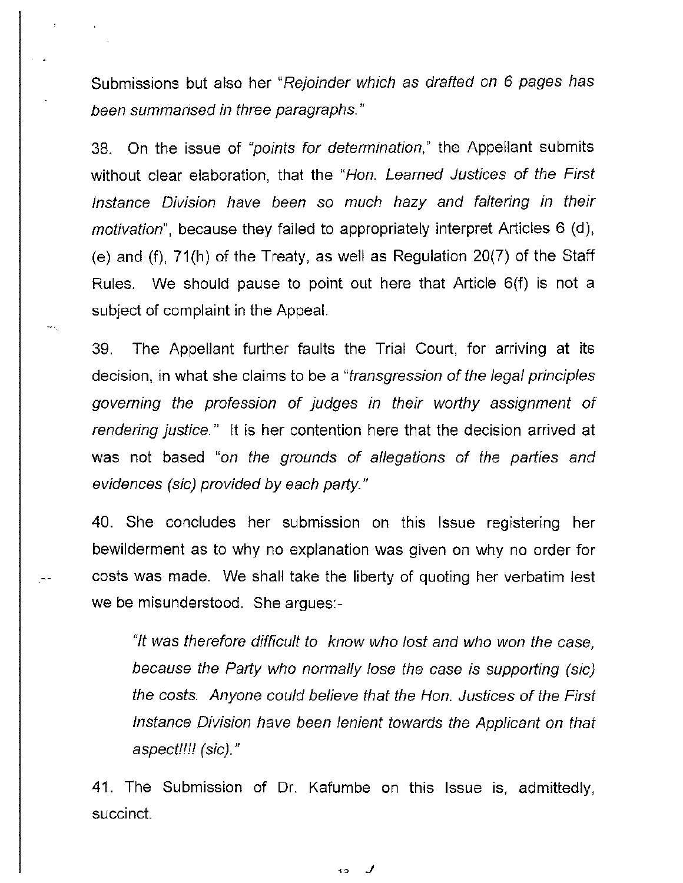Submissions but also her "Rejoinder which as drafted on 6 pages has been summarised in three paragraphs."

38. On the issue of "points for determination," the Appellant submits without clear elaboration, that the "Hon. Learned Justices of the First Instance Division have been so much hazy and faltering in their motivation", because they failed to appropriately interpret Articles 6 (d), (e) and (f), 71(h) of the Treaty, as well as Regulation 20(7) of the Staff Rules. We should pause to point out here that Article 6(f) is not a subject of complaint in the Appeal.

39. The Appellant further faults the Trial Court, for arriving at its decision, in what she claims to be a "transgression of the legal principles governing the profession of judges in their worthy assignment of rendering justice." It is her contention here that the decision arrived at was not based "on the grounds of allegations of the parties and evidences (sic) provided by each party."

40. She concludes her submission on this Issue registering her bewilderment as to why no explanation was given on why no order for costs was made. We shall take the liberty of quoting her verbatim lest we be misunderstood. She argues:-

"/t was therefore difficult to know who lost and who won the case, because the Party who normally lose the case is supporting (sic) the costs. Anyone could believe that the Hon. Justices of the First Instance Division have been lenient towards the Applicant on that aspect!!!! (sic)."

41. The Submission of Dr. Kafumbe on this Issue is, admittedly, succinct.

,o *J*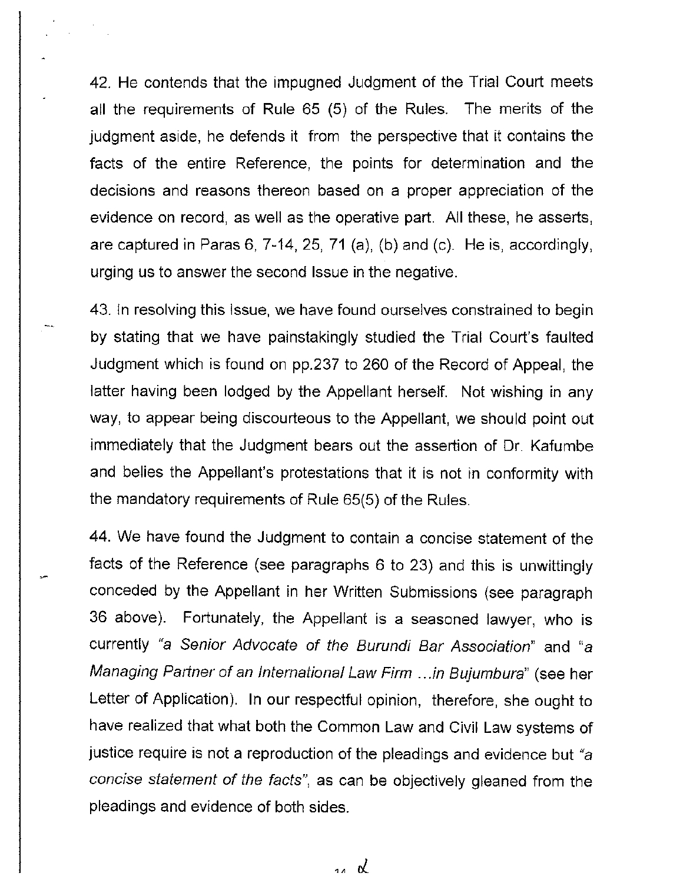42. He contends that the impugned Judgment of the Trial Court meets all the requirements of Rule 65 (5) of the Rules. The merits of the judgment aside, he defends it from the perspective that it contains the facts of the entire Reference, the points for determination and the decisions and reasons thereon based on a proper appreciation of the evidence on record, as well as the operative part. All these, he asserts, are captured in Paras 6, 7-14, 25, 71 (a), (b) and (c). He is, accordingly, urging us to answer the second Issue in the negative.

43. In resolving this Issue, we have found ourselves constrained to begin by stating that we have painstakingly studied the Trial Court's faulted Judgment which is found on pp.237 to 260 of the Record of Appeal, the latter having been lodged by the Appellant herself. Not wishing in any way, to appear being discourteous to the Appellant, we should point out immediately that the Judgment bears out the assertion of Dr. Kafumbe and belies the Appellant's protestations that it is not in conformity with the mandatory requirements of Rule 65(5) of the Rules.

44. We have found the Judgment to contain a concise statement of the facts of the Reference (see paragraphs 6 to 23) and this is unwittingly conceded by the Appellant in her Written Submissions (see paragraph 36 above). Fortunately, the Appellant is a seasoned lawyer, who is currently "a Senior Advocate of the Burundi Bar Association" and "a Managing Partner of an International Law Firm .. .in Bujumbura" (see her Letter of Application). In our respectful opinion, therefore, she ought to have realized that what both the Common Law and Civil Law systems of justice require is not a reproduction of the pleadings and evidence but "a concise statement of the facts", as can be objectively gleaned from the pleadings and evidence of both sides.

14 R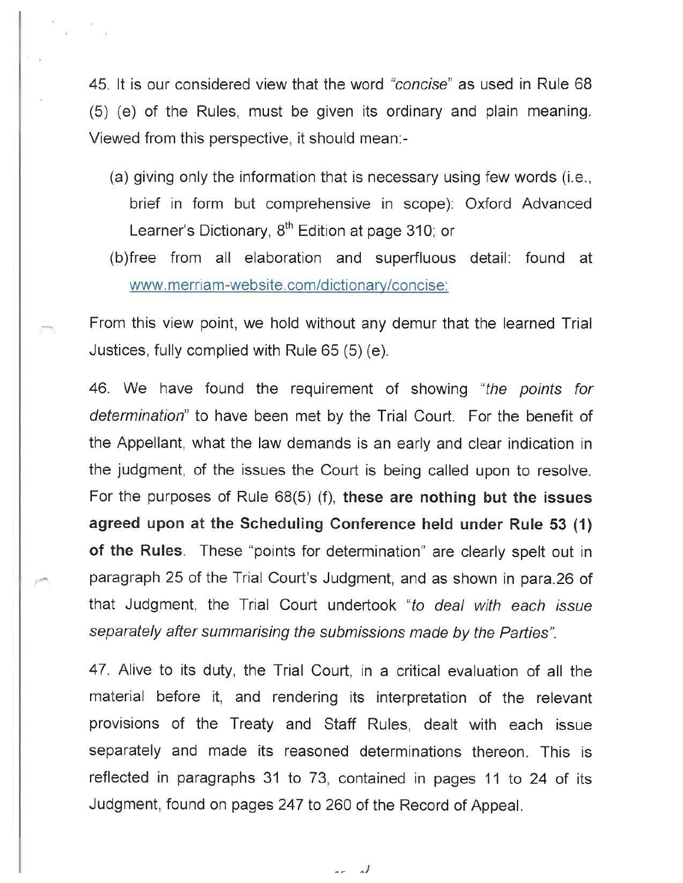45. It is our considered view that the word "concise" as used in Rule 68 (5) (e) of the Rules, must be given its ordinary and plain meaning. Viewed from this perspective, it should mean:-

- (a) giving only the information that is necessary using few words (i.e., brief in form but comprehensive in scope): Oxford Advanced Learner's Dictionary, 8<sup>th</sup> Edition at page 310; or
- (b )free from all elaboration and superfluous detail: found at www.merriam-website.com/dictionary/concise:

From this view point, we hold without any demur that the learned Trial Justices, fully complied with Rule 65 (5) (e).

46. We have found the requirement of showing "the points for determination" to have been met by the Trial Court. For the benefit of the Appellant, what the law demands is an early and clear indication in the judgment, of the issues the Court is being called upon to resolve. For the purposes of Rule 68(5) (f), **these are nothing but the issues agreed upon at the Scheduling Conference held under Rule 53 (1) of the Rules.** These "points for determination" are clearly spelt out in paragraph 25 of the Trial Court's Judgment, and as shown in para.26 of that Judgment, the Trial Court undertook "to deal with each issue separately after summarising the submissions made by the Parties".

47. Alive to its duty, the Trial Court, in a critical evaluation of all the material before it, and rendering its interpretation of the relevant provisions of the Treaty and Staff Rules, dealt with each issue separately and made its reasoned determinations thereon. This is reflected in paragraphs 31 to 73, contained in pages 11 to 24 of its Judgment, found on pages 247 to 260 of the Record of Appeal.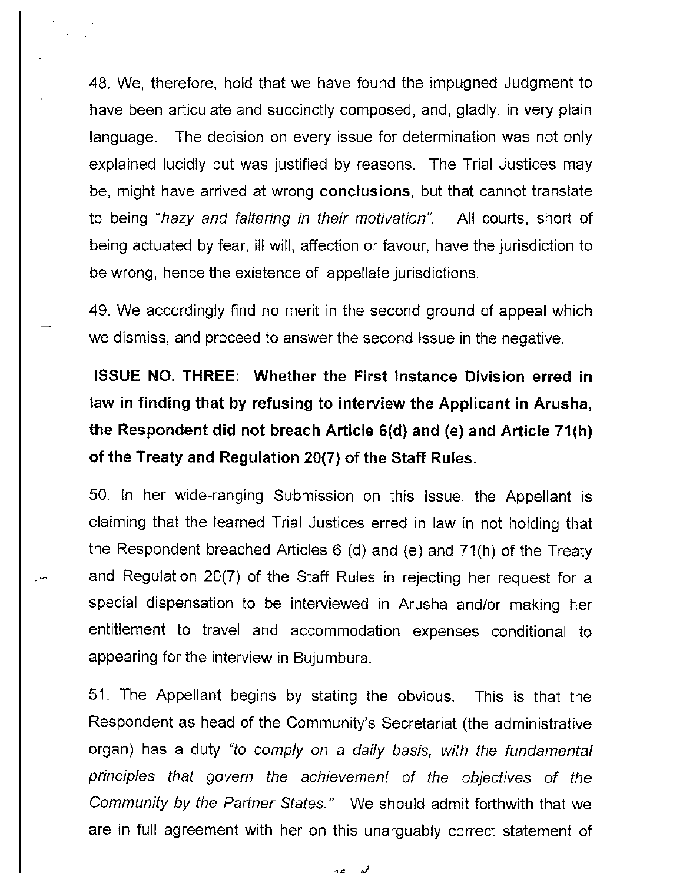48. We, therefore, hold that we have found the impugned Judgment to have been articulate and succinctly composed, and, gladly, in very plain language. The decision on every issue for determination was not only explained lucidly but was justified by reasons. The Trial Justices may be, might have arrived at wrong **conclusions,** but that cannot translate to being "hazy and faltering in their motivation". All courts, short of being actuated by fear, ill will, affection or favour, have the jurisdiction to be wrong, hence the existence of appellate jurisdictions.

49. We accordingly find no merit in the second ground of appeal which we dismiss, and proceed to answer the second Issue in the negative.

# **ISSUE NO. THREE: Whether the First Instance Division erred in law in finding that by refusing to interview the Applicant in Arusha, the Respondent did not breach Article 6(d) and (e) and Article 71(h) of the Treaty and Regulation 20(7) of the Staff Rules.**

50. In her wide-ranging Submission on this Issue, the Appellant is claiming that the learned Trial Justices erred in law in not holding that the Respondent breached Articles 6 (d) and (e) and 71(h) of the Treaty and Regulation 20(7) of the Staff Rules in rejecting her request for a special dispensation to be interviewed in Arusha and/or making her entitlement to travel and accommodation expenses conditional to appearing for the interview in Bujumbura.

51. The Appellant begins by stating the obvious. This is that the Respondent as head of the Community's Secretariat (the administrative organ) has a duty "to comply on a daily basis, with the fundamental principles that govern the achievement of the objectives of the Community by the Partner States." We should admit forthwith that we are in full agreement with her on this unarguably correct statement of

> لر a e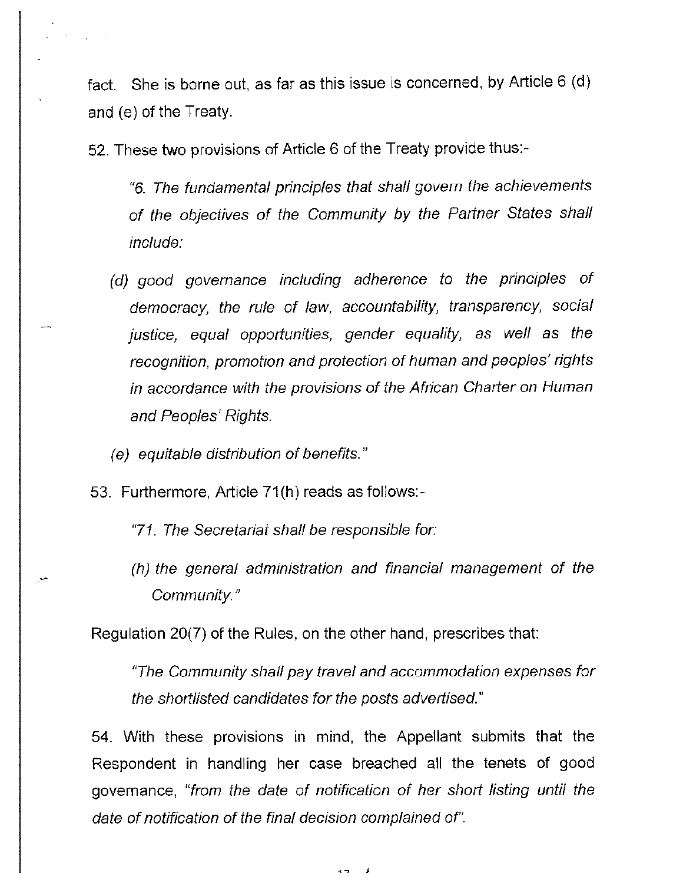fact. She is borne out, as far as this issue is concerned, by Article 6 (d) and (e) of the Treaty.

52. These two provisions of Article 6 of the Treaty provide thus:-

"6. The fundamental principles that shall govern the achievements of the objectives of the Community by the Partner States shall include:

- (d) good governance including adherence to the principles of democracy, the rule of law, accountability, transparency, social justice, equal opportunities, gender equality, as well as the recognition, promotion and protection of human and peoples' rights in accordance with the provisions of the African Charter on Human and Peoples' Rights.
- (e) equitable distribution of benefits."
- 53. Furthermore, Article 71(h) reads as follows:-
	- "71. The Secretariat shall be responsible for:
	- (h) the general administration and financial management of the Community."

Regulation 20(7) of the Rules, on the other hand, prescribes that:

"The Community shall pay travel and accommodation expenses for the shortlisted candidates for the posts advertised."

54. With these provisions in mind, the Appellant submits that the Respondent in handling her case breached all the tenets of good governance, "from the date of notification of her short listing until the date of notification of the final decision complained of'.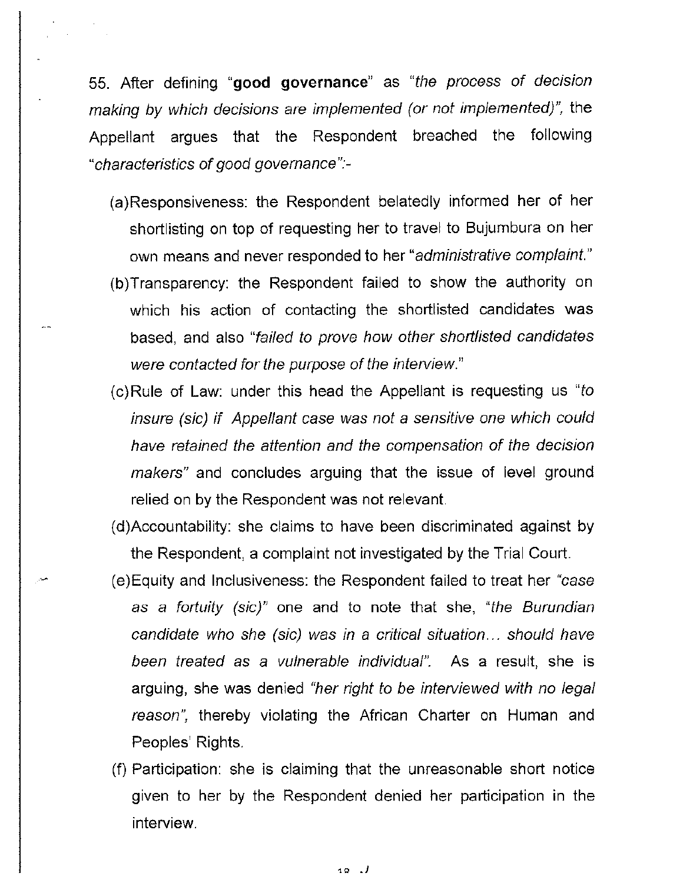55. After defining **"good governance"** as "the process of decision making by which decisions are implemented (or not implemented)", the Appellant argues that the Respondent breached the following "characteristics of good govemance":-

- (a)Responsiveness: the Respondent belatedly informed **her** of her shortlisting on top of requesting her to travel to Bujumbura on her own means and never responded to her "administrative complaint."
- (b)Transparency: the Respondent failed to show the authority on which his action of contacting the shortlisted candidates was based, and also "failed to prove how other shortlisted candidates were contacted for the purpose of the interview."
- $(c)$ Rule of Law: under this head the Appellant is requesting us "to" insure (sic) if Appellant case was not a sensitive one which could have retained the attention and the compensation of the decision makers" and concludes arguing that the issue of level ground relied on by the Respondent was not relevant.
- (d)Accountability: she claims to have been discriminated against by the Respondent, a complaint not investigated by the Trial Court.
- (e)Equity and Inclusiveness: the Respondent failed to treat her "case as a fortuity (sic)" one and to note that she, "the Burundian candidate who she (sic) was in a critical situation ... should have been treated as a vulnerable individual". As a result, she is arguing, she was denied "her right to be interviewed with no legal reason", thereby violating the African Charter on Human and Peoples' Rights.
- (f) Participation: she is claiming that the unreasonable short notice given to her by the Respondent denied her participation in the interview.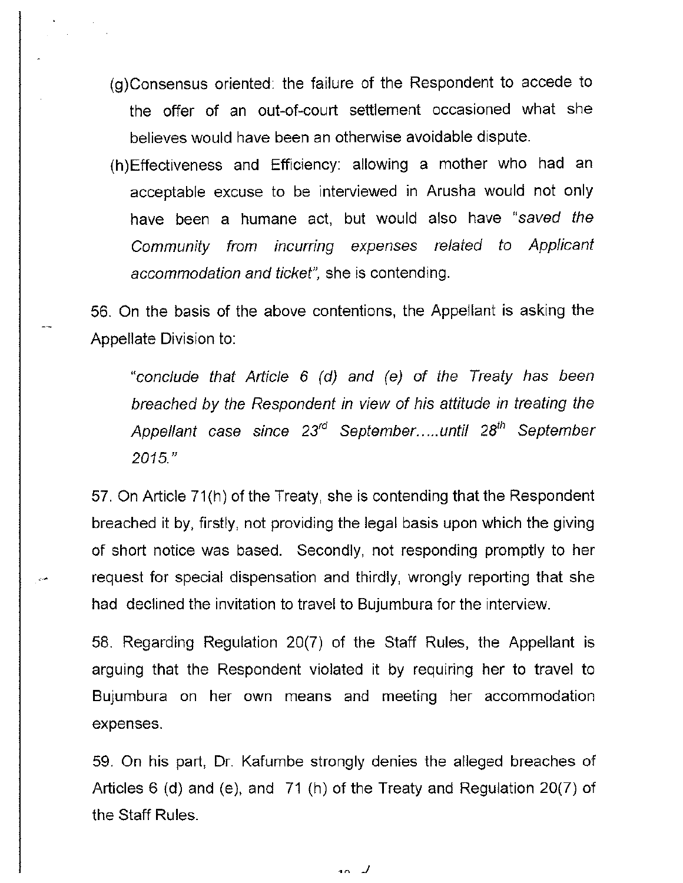- (g)Consensus oriented: the failure of the Respondent to accede to the offer of an out-of-court settlement occasioned what she believes would have been an otherwise avoidable dispute.
- (h)Effectiveness and Efficiency: allowing a mother who had an acceptable excuse to be interviewed in Arusha would not only have been a humane act, but would also have "saved the Community from incurring expenses related to Applicant accommodation and ticket", she is contending.

56. On the basis of the above contentions, the Appellant is asking the Appellate Division to:

"conclude that Article 6 (d) and (e) of the Treaty has been breached by the Respondent in view of his attitude in treating the Appellant case since 23<sup>rd</sup> September.....until 28<sup>th</sup> September 2015."

57. On Article 71 (h) of the Treaty, she is contending that the Respondent breached it by, firstly, not providing the legal basis upon which the giving of short notice was based. Secondly, not responding promptly to her request for special dispensation and thirdly, wrongly reporting that she had declined the invitation to travel to Bujumbura for the interview.

58. Regarding Regulation 20(7) of the Staff Rules, the Appellant is arguing that the Respondent violated it by requiring her to travel to Bujumbura on her own means and meeting her accommodation expenses.

59. On his part, Dr. Kafumbe strongly denies the alleged breaches of Articles 6 (d) and (e), and 71 (h) of the Treaty and Regulation 20(7) of the Staff Rules.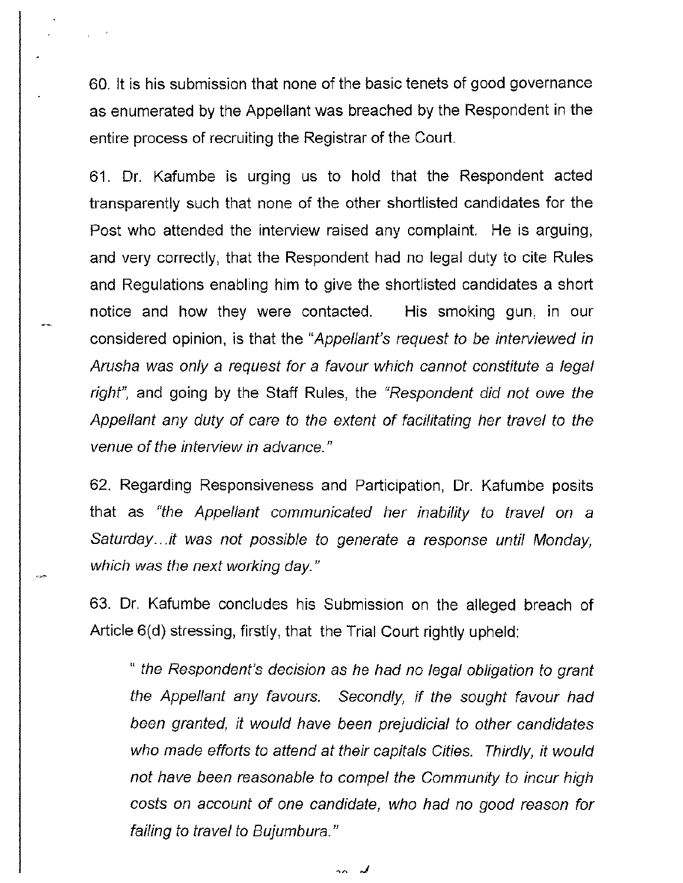60. It is his submission that none of the basic tenets of good governance as enumerated by the Appellant was breached by the Respondent in **the**  entire process of recruiting the Registrar of the Court.

61. Dr. Kafumbe is urging us to hold that the Respondent acted transparently such that none of the other shortlisted candidates for the Post who attended the interview raised any complaint. **He** is arguing, and very correctly, that the Respondent had no legal duty to cite Rules and Regulations enabling him to give the shortlisted candidates a short notice and how they were contacted. His smoking gun, in our considered opinion, is that the "Appellant's request to be interviewed in Arusha was only a request for a favour which cannot constitute a legal right", and going by the Staff Rules, the "Respondent did not owe the Appellant any duty of care to the extent of facilitating her travel to the venue of the interview in advance."

62. Regarding Responsiveness and Participation, Dr. Kafumbe posits that as "the Appellant communicated her inability to travel on a Saturday...it was not possible to generate a response until Monday, which was the next working day."

63. Dr. Kafumbe concludes his Submission on the alleged breach of Article 6(d) stressing, firstly, that the Trial Court rightly upheld:

" the Respondent's decision as he had no legal obligation to grant the Appellant any favours. Secondly, if the sought favour had been granted, it would have been prejudicial to other candidates who made efforts to attend at their capitals Cities. Thirdly, it would not have been reasonable to compel the Community to incur high costs on account of one candidate, who had no good reason for failing to travel to Bujumbura."

 $\sim$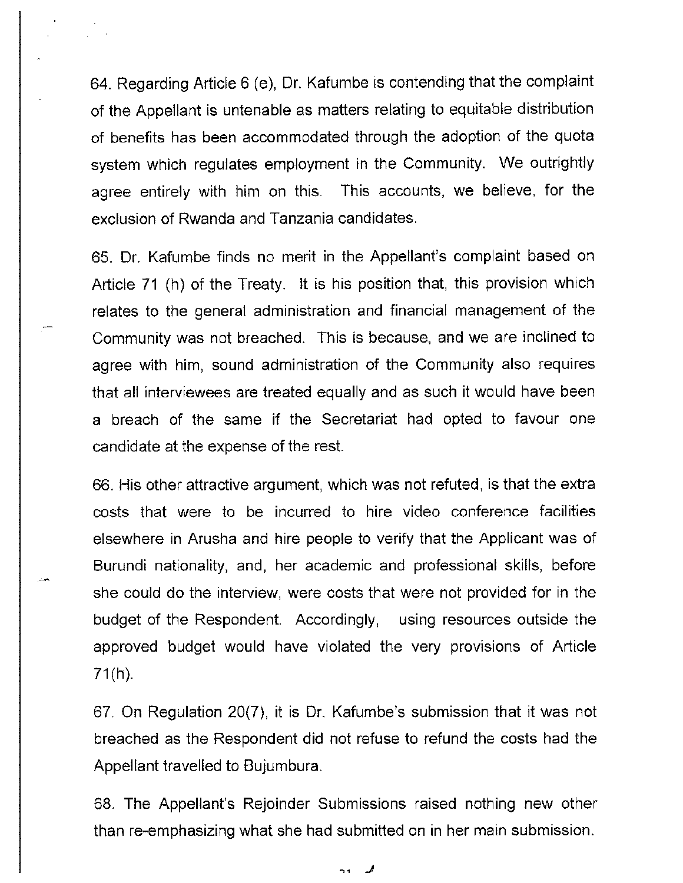64. Regarding Article 6 (e), Or. Kafumbe is contending that the complaint of the Appellant is untenable as matters relating to equitable distribution of benefits has been accommodated through the adoption of the quota system which regulates employment in the Community. We outrightly agree entirely with him on this. This accounts, we believe, for the exclusion of Rwanda and Tanzania candidates.

65. Dr. Kafumbe finds no merit in the Appellant's complaint based on Article 71 (h) of the Treaty. It is his position that, this provision which relates to the general administration and financial management of the Community was not breached. This is because, and we are inclined to agree with him, sound administration of the Community also requires that all interviewees are treated equally and as such it would have been a breach of the same if the Secretariat had opted to favour one candidate at the expense of the rest.

66. His other attractive argument, which was not refuted, is that the extra costs that were to be incurred to hire video conference facilities elsewhere in Arusha and hire people to verify that the Applicant was of Burundi nationality, and, her academic and professional skills, before she could do the interview, were costs that were not provided for in the budget of the Respondent. Accordingly, using resources outside the approved budget would have violated the very provisions of Article  $71(h)$ .

67. On Regulation 20(7), it is Dr. Kafumbe's submission that it was not breached as the Respondent did not refuse to refund the costs had the Appellant travelled to Bujumbura.

68. The Appellant's Rejoinder Submissions raised nothing new other than re-emphasizing what she had submitted on in her main submission.

> كمد  $24$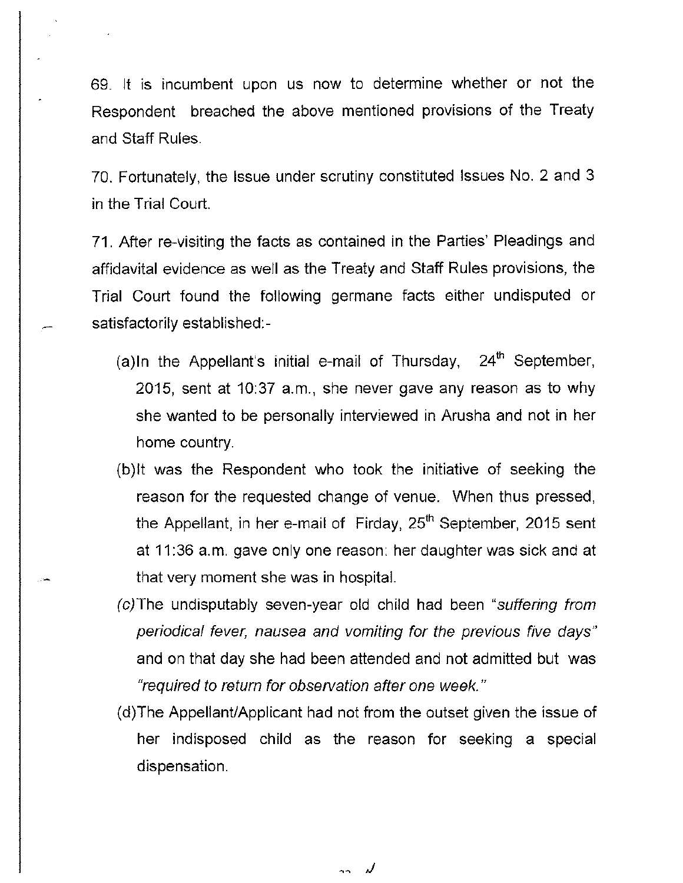69. It is incumbent upon us now to determine whether or not the Respondent breached the above mentioned provisions of the Treaty and Staff Rules.

70. Fortunately, the Issue under scrutiny constituted Issues No. 2 and 3 in the Trial Court.

**71.** After re-visiting the facts as contained in the Parties' Pleadings and affidavital evidence as well as the Treaty and Staff Rules provisions, the Trial Court found the following germane facts either undisputed or satisfactorily established:-

- (a)In the Appellant's initial e-mail of Thursday, 24<sup>th</sup> September, 2015, sent at 10:37 a.m., she never gave any reason as to why she wanted to be personally interviewed in Arusha and not in her home country.
- (b)lt was the Respondent who took the initiative of seeking the reason for the requested change of venue. When thus pressed, the Appellant, in her e-mail of Firday,  $25<sup>th</sup>$  September, 2015 sent at 11 :36 a.m. gave only one reason: her daughter was sick and at that very moment she was in hospital.
- (c)The undisputably seven-year old child had been "suffering from periodical fever, nausea and vomiting for the previous five days" and on that day she had been attended and not admitted but was "required to return for observation after one week."
- (d)The Appellant/Applicant had not from the outset given the issue of her indisposed child as the reason for seeking a special dispensation.

 $\sim$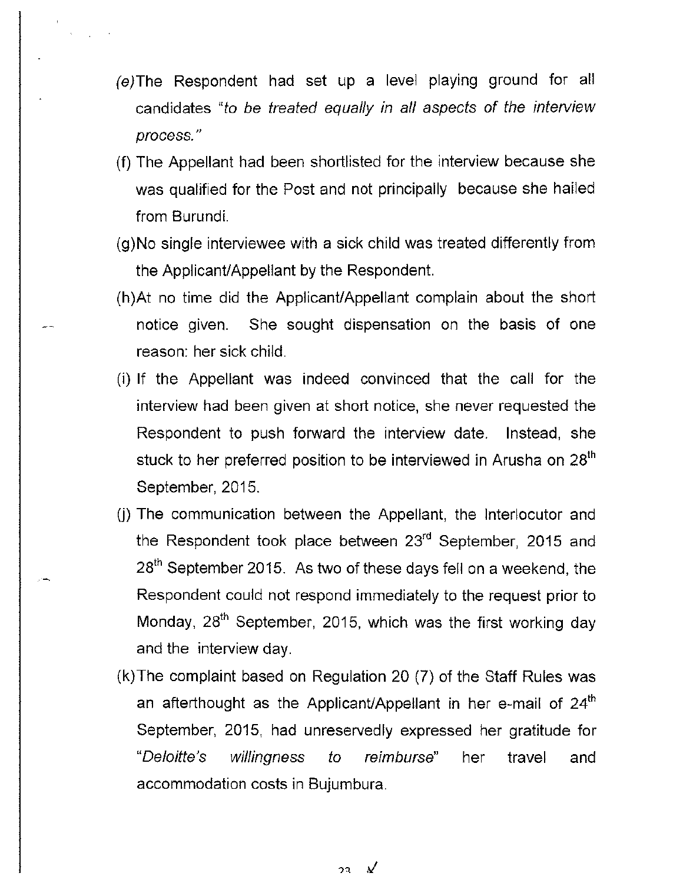- (e)The Respondent had set up a level playing ground for all candidates "to be treated equally in all aspects of the interview process."
- (f) The Appellant had been shortlisted for the interview because she was qualified for the Post and not principally because she hailed from Burundi.
- (g)No single interviewee with a sick child was treated differently from the Applicant/Appellant by the Respondent.
- (h)At no time did the Applicant/Appellant complain about the short notice given. She sought dispensation on the basis of one reason: her sick child.
- (i) If the Appellant was indeed convinced that the call for the interview had been given at short notice, she never requested the Respondent to push forward the interview date. Instead, she stuck to her preferred position to be interviewed in Arusha on 28<sup>th</sup> September, 2015.
- (j) The communication between the Appellant, the Interlocutor and the Respondent took place between 23<sup>rd</sup> September, 2015 and 28<sup>th</sup> September 2015. As two of these days fell on a weekend, the Respondent could not respond immediately to the request prior to Monday,  $28<sup>th</sup>$  September, 2015, which was the first working day and the interview day.
- (k) The complaint based on Regulation 20 (7) of the Staff Rules was an afterthought as the Applicant/Appellant in her e-mail of  $24<sup>th</sup>$ September, 2015, had unreservedly expressed her gratitude for "Deloit/e's willingness to reimburse" her travel and accommodation costs in Bujumbura.

 $\mathcal{N}$  $23$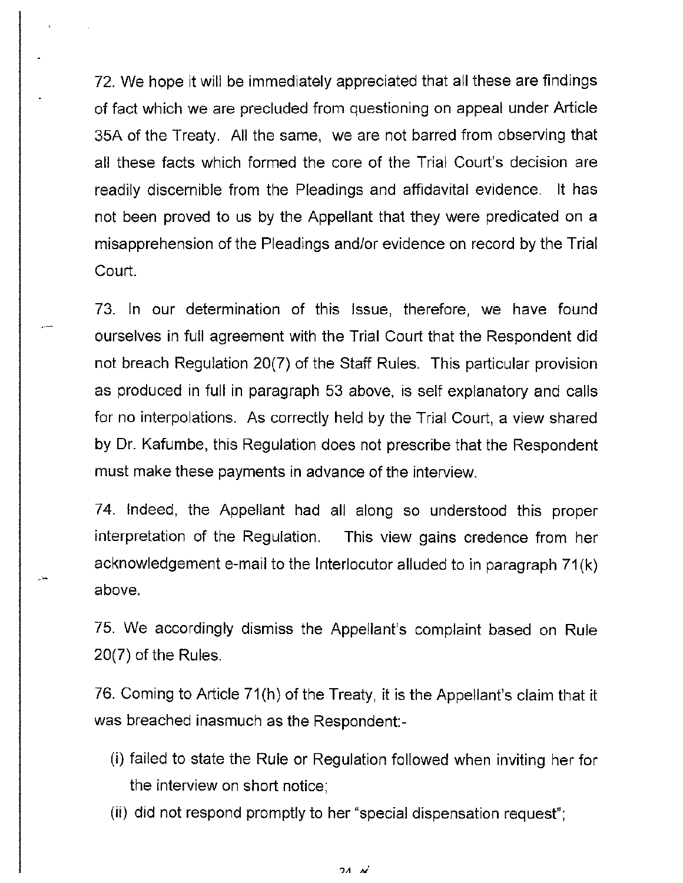72. We hope it will be immediately appreciated that all these are findings of fact which we are precluded from questioning on appeal under Article 35A of the Treaty. All the same, we are not barred from observing that all these facts which formed the core of the Trial Court's decision are readily discernible from the Pleadings and affidavital evidence. It has not been proved to us by the Appellant that they were predicated on a misapprehension of the Pleadings and/or evidence on record by the Trial Court.

73. In our determination of this Issue, therefore, we have found ourselves in full agreement with the Trial Court that the Respondent did not breach Regulation 20(7) of the Staff Rules. This particular provision as produced in full in paragraph 53 above, is self explanatory and calls for no interpolations. As correctly held by the Trial Court, a view shared by Dr. Kafumbe, this Regulation does not prescribe that the Respondent must make these payments in advance of the interview.

74. Indeed, the Appellant had all along so understood this proper interpretation of the Regulation. This view gains credence from her acknowledgement e-mail to the Interlocutor alluded to in paragraph 71 (k) above.

75. We accordingly dismiss the Appellant's complaint based on Rule 20(7) of the Rules.

76. Coming to Article 71 (h) of the Treaty, it is the Appellant's claim that it was breached inasmuch as the Respondent:-

- (i) failed to state the Rule or Regulation followed when inviting her for the interview on short notice;
- (ii) did not respond promptly to her "special dispensation request";

 $24 M$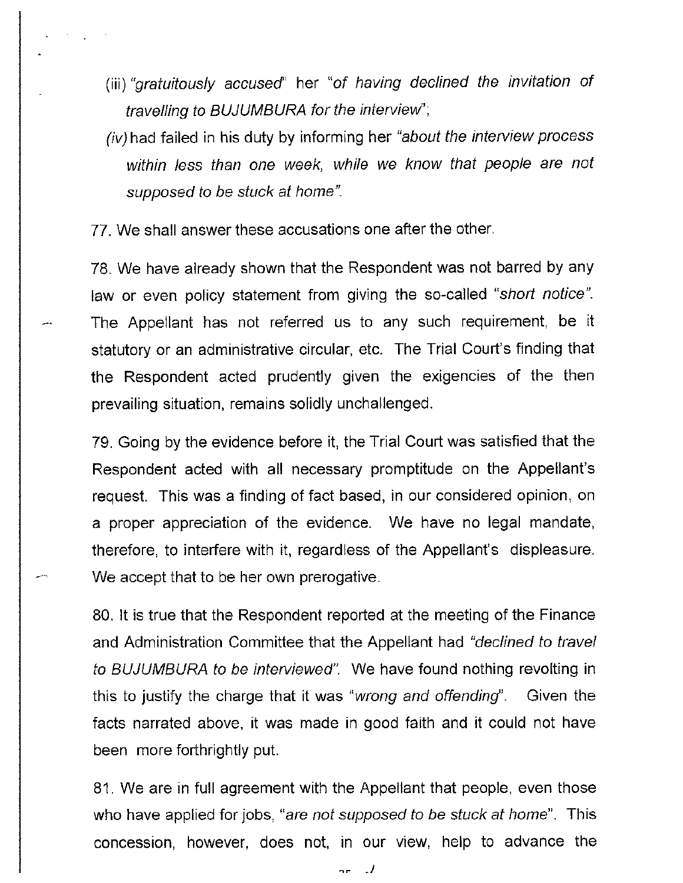- (iii) "gratuitously accused' her "of having declined the invitation of travelling to BUJUMBURA for the interview';
- (iv) had failed in his duty by informing her "about the interview process within less than one week, while we know that people are not supposed to be stuck at home".
- 77. We shall answer these accusations one after the other.

لمسر

78. We have already shown that the Respondent was not barred by any law or even policy statement from giving the so-called "short notice". The Appellant has not referred us to any such requirement, be it statutory or an administrative circular, etc. The Trial Court's finding that the Respondent acted prudently given the exigencies of the then prevailing situation, remains solidly unchallenged.

79. Going by the evidence before it, the Trial Court was satisfied that the Respondent acted with all necessary promptitude on the Appellant's request. This was a finding of fact based, in our considered opinion, on a proper appreciation of the evidence. We have no legal mandate, therefore, to interfere with it, regardless of the Appellant's displeasure. We accept that to be her own prerogative.

80. It is true that the Respondent reported at the meeting of the Finance and Administration Committee that the Appellant had "declined to travel to BUJUMBURA to be interviewed". We have found nothing revolting in this to justify the charge that it was "*wrong and offending*". Given the facts narrated above, it was made in good faith and it could not have been more forthrightly put.

81. We are in full agreement with the Appellant that people, even those who have applied for jobs, "are not supposed to be stuck at home". This concession, however, does not, in our view, help to advance the

"r \_ /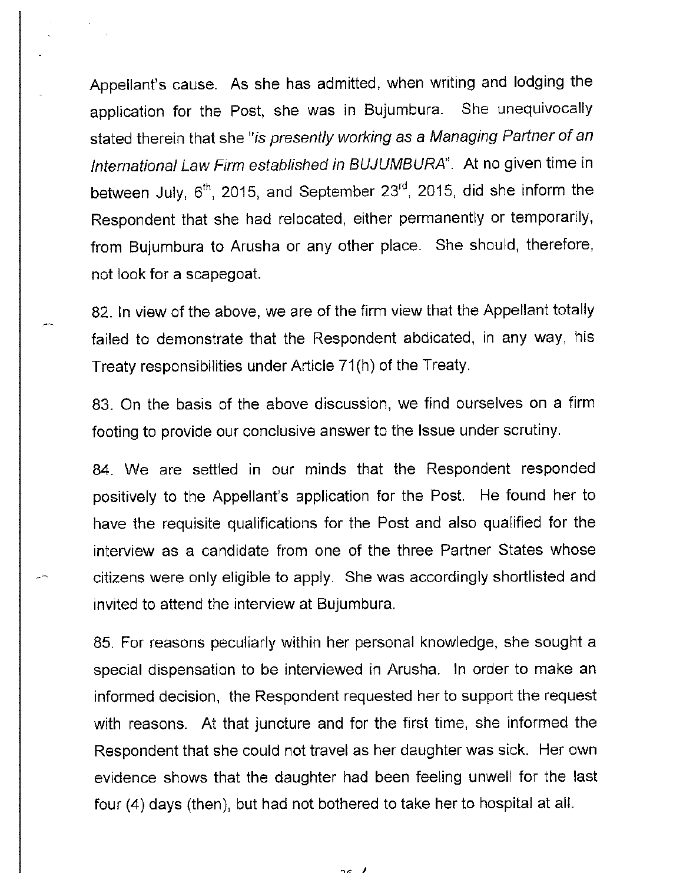Appellant's cause. As she has admitted, when writing and lodging the application for the Post, she was in Bujumbura. She unequivocally stated therein that she "is presently working as a Managing Partner of an International Law Firm established in BUJUMBURA". At no given time in between July,  $6<sup>th</sup>$ , 2015, and September 23<sup>rd</sup>, 2015, did she inform the Respondent that she had relocated, either permanently or temporarily, from Bujumbura to Arusha or any other place. She should, therefore, not look for a scapegoat.

82. In view of the above, we are of the firm view that the Appellant totally failed to demonstrate that the Respondent abdicated, in any way, his Treaty responsibilities under Article 71 (h) of the Treaty.

83. On the basis of the above discussion, we find ourselves on a firm footing to provide our conclusive answer to the Issue under scrutiny.

84. We are settled in our minds that the Respondent responded positively to the Appellant's application for the Post. He found her to have the requisite qualifications for the Post and also qualified for the interview as a candidate from one of the three Partner States whose citizens were only eligible to apply. She was accordingly shortlisted and invited to attend the interview at Bujumbura.

85. For reasons peculiarly within her personal knowledge, she sought a special dispensation to be interviewed in Arusha. In order to make an informed decision, the Respondent requested her to support the request with reasons. At that juncture and for the first time, she informed the Respondent that she could not travel as her daughter was sick. Her own evidence shows that the daughter had been feeling unwell for the last four (4) days (then), but had not bothered to take her to hospital at all.

 $2c$  /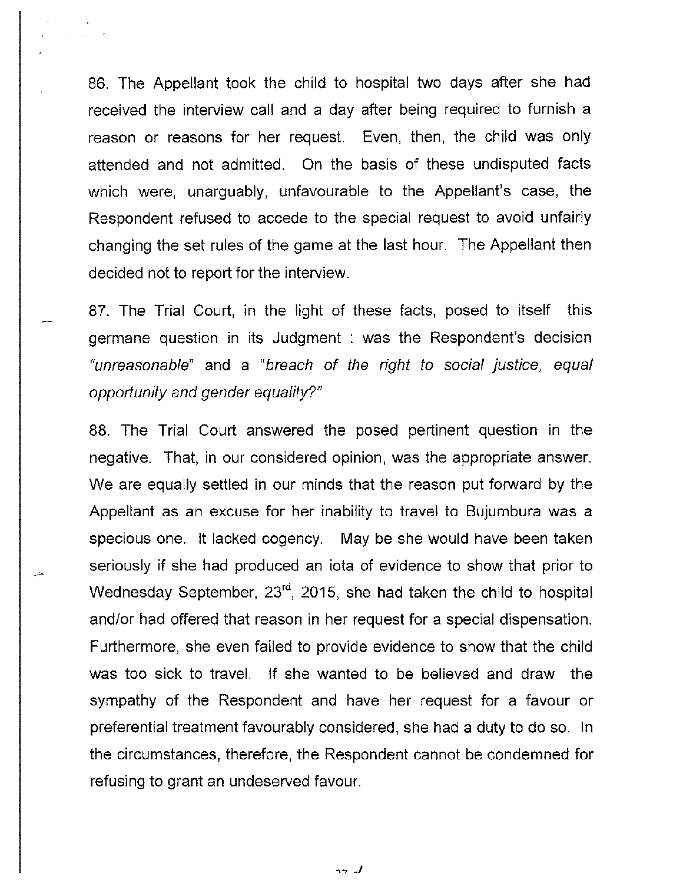86. The Appellant took the child to hospital two days after she had received the interview call and a day after being required to furnish a reason or reasons for her request. Even, then, the child was only attended and not admitted. On the basis of these undisputed facts which were, unarguably, unfavourable to the Appellant's case, the Respondent refused to accede to the special request to avoid unfairly changing the set rules of the game at the last hour. The Appellant then decided not to report for the interview.

87. The Trial Court, in the light of these facts, posed to itself this germane question in its Judgment : was the Respondent's decision "unreasonable" and a "breach of the right to social justice, equal opportunity and gender equality?"

88. The Trial Court answered the posed pertinent question in the negative. That, in our considered opinion, was the appropriate answer. We are equally settled in our minds that the reason put forward by the Appellant as an excuse for her inability to travel to Bujumbura was a specious one. It lacked cogency. May be she would have been taken seriously if she had produced an iota of evidence to show that prior to Wednesday September,  $23<sup>rd</sup>$ , 2015, she had taken the child to hospital and/or had offered that reason in her request for a special dispensation. Furthermore, she even failed to provide evidence to show that the child was too sick to travel. If she wanted to be believed and draw the sympathy of the Respondent and have her request for a favour or preferential treatment favourably considered, she had a duty to do so. In the circumstances, therefore, the Respondent cannot be condemned for refusing to grant an undeserved favour.

..,., *\_J*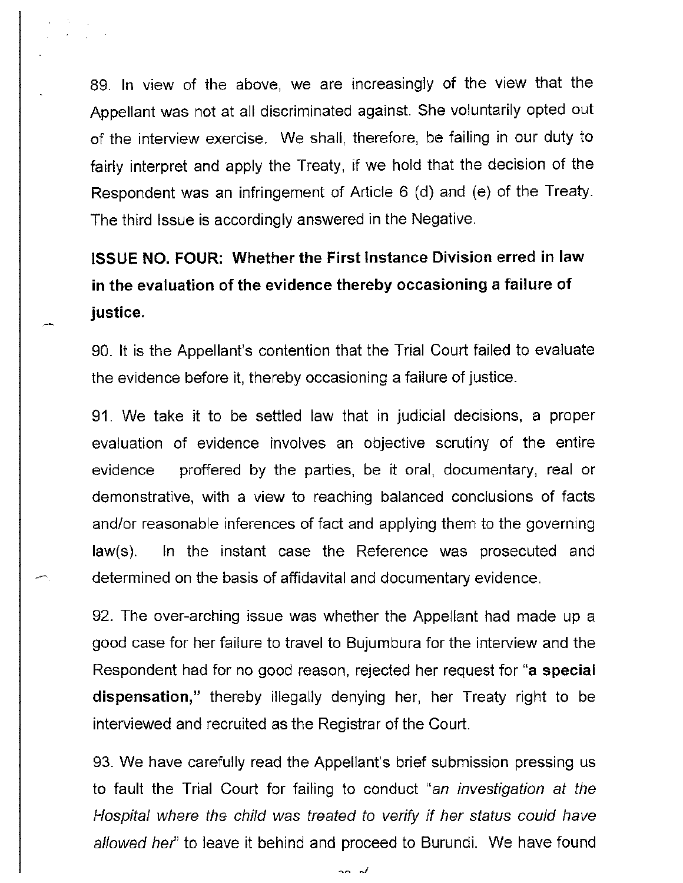89. In view of the above, we are increasingly of the view that the Appellant was not at all discriminated against. She voluntarily opted out of the interview exercise. We shall, therefore, be failing in our duty to fairly interpret and apply the Treaty, if we hold that the decision of the Respondent was an infringement of Article 6 (d) and (e) of the Treaty. The third Issue is accordingly answered in the Negative.

## **ISSUE NO. FOUR: Whether the First Instance Division erred in law in the evaluation of the evidence thereby occasioning a failure of justice.**

90. It is the Appellant's contention that the Trial Court failed to evaluate the evidence before it, thereby occasioning a failure of justice.

91. We take it to be settled law that in judicial decisions, a proper evaluation of evidence involves an objective scrutiny of the entire evidence proffered by the parties, be it oral, documentary, real or demonstrative, with a view to reaching balanced conclusions of facts and/or reasonable inferences of fact and applying them to the governing law(s). In the instant case the Reference was prosecuted and determined on the basis of affidavital and documentary evidence.

92. The over-arching issue was whether the Appellant had made up a good case for her failure to travel to Bujumbura for the interview and the Respondent had for no good reason, rejected her request for **"a special dispensation,"** thereby illegally denying her, her Treaty right to be interviewed and recruited as the Registrar of the Court.

93. We have carefully read the Appellant's brief submission pressing us to fault the Trial Court for failing to conduct "an investigation at the Hospital where the child was treated to verify if her status could have allowed her' to leave it behind and proceed to Burundi. We have found

20. ol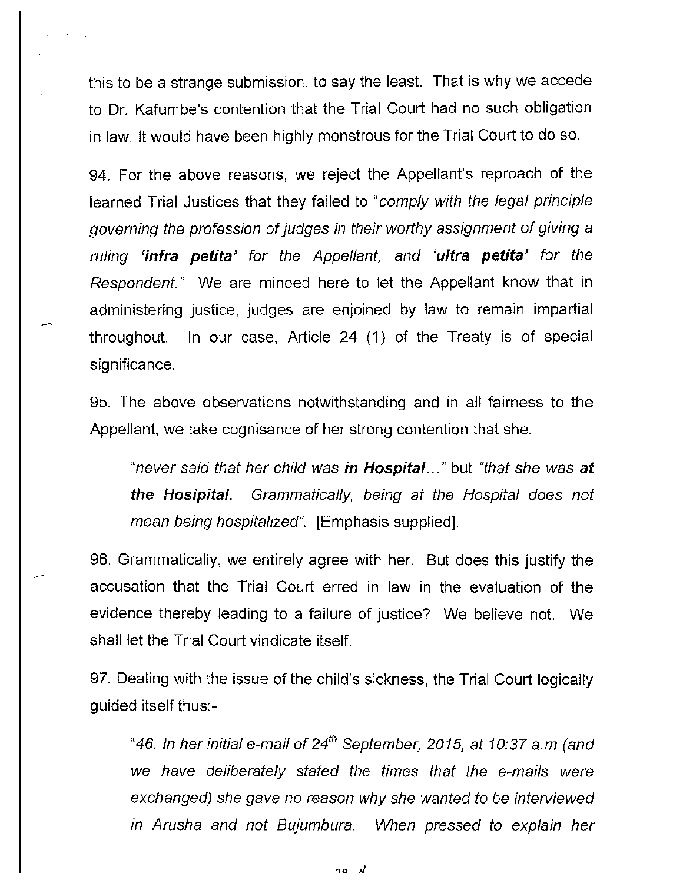this to be a strange submission, to say the least. That is why we accede to Dr. Kafumbe's contention that the Trial Court had no such obligation in law. It would have been highly monstrous for the Trial Court to do so.

94. For the above reasons, we reject the Appellant's reproach of the learned Trial Justices that they failed to "comply with the legal principle governing the profession of judges in their worthy assignment of giving a ruling **'infra petita'** for the Appellant, and **'ultra petita'** for the Respondent." We are minded here to let the Appellant know that in administering justice, judges are enjoined by law to remain impartial throughout. In our case, Article 24 **(1)** of the Treaty is of special significance.

95. The above observations notwithstanding and in all fairness to the Appellant, we take cognisance of her strong contention that she:

"never said that her child was **in Hospital ... "** but "that she was **at the Hosipital.** Grammatically, being at the Hospital does not mean being hospitalized". [Emphasis supplied].

96. Grammatically, we entirely agree with her. But does this justify the accusation that the Trial Court erred in law in the evaluation of the evidence thereby leading to a failure of justice? We believe not. We shall let the Trial Court vindicate itself.

97. Dealing with the issue of the child's sickness, the Trial Court logically guided itself thus:-

"46. In her initial e-mail of 24<sup>th</sup> September, 2015, at 10:37 a.m (and we have deliberately stated the times that the e-mails were exchanged) she gave no reason why she wanted to be interviewed in Arusha and not Bujumbura. When pressed to explain her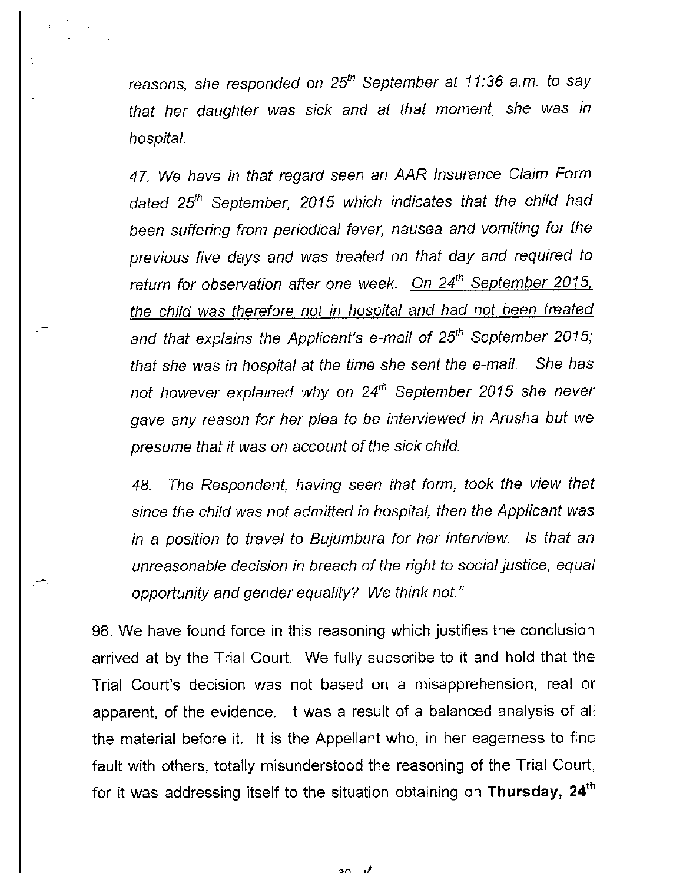reasons, she responded on *25th* September at *11* :36 a.m. to say that her daughter was sick and at that moment, she was in hospital.

47. We have in that regard seen an AAR Insurance Claim Form dated *25th* September, *2015* which indicates that the child had been suffering from periodical fever, nausea and vomiting for the previous five days and was treated on that day and required to return for observation after one week. On 24<sup>th</sup> September 2015, the child was therefore not in hospital and had not been treated and that explains the Applicant's e-mail of *25th* September *2015;*  that she was in hospital at the time she sent the e-mail. She has not however explained why on *24th* September *2015* she never gave any reason for her plea to be interviewed in Arusha but we presume that it was on account of the sick child.

48. The Respondent, having seen that form, took the view that since the child was not admitted in hospital, then the Applicant was in a position to travel to Bujumbura for her interview. Is that an unreasonable decision in breach of the right to social justice, equal opportunity and gender equality? We think not."

98. We have found force in this reasoning which justifies the conclusion arrived at by the Trial Court. We fully subscribe to it and hold that the Trial Court's decision was not based on a misapprehension, real or apparent, of the evidence. It was a result of a balanced analysis of all the material before it. It is the Appellant who, in her eagerness to find fault with others, totally misunderstood the reasoning of the Trial Court, for it was addressing itself to the situation obtaining on **Thursday, 24th** 

> - 7  $20<sup>2</sup>$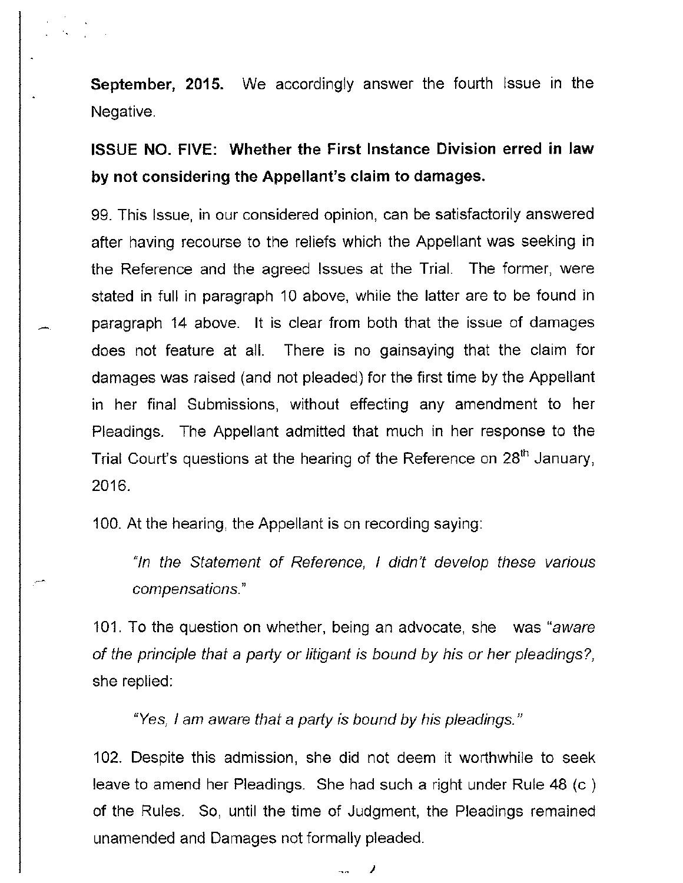**September, 2015.** We accordingly answer the fourth Issue in the Negative.

**ISSUE NO. FIVE: Whether the First Instance Division erred in law by not considering the Appellant's claim to damages.** 

99. This Issue, in our considered opinion, can be satisfactorily answered after having recourse to the reliefs which the Appellant was seeking in the Reference and the agreed Issues at the Trial. The former, were stated in full in paragraph 10 above, while the latter are to be found in paragraph 14 above. It is clear from both that the issue of damages does not feature at all. There is no gainsaying that the claim for damages was raised (and not pleaded) for the first time by the Appellant in her final Submissions, without effecting any amendment to her Pleadings. The Appellant admitted that much in her response to the Trial Court's questions at the hearing of the Reference on 28<sup>th</sup> January, 2016.

100. At the hearing, the Appellant is on recording saying:

-

"In the Statement of Reference, I didn't develop these various compensations."

101. To the question on whether, being an advocate, she was "aware of the principle that a party or litigant is bound by his or her pleadings?, she replied:

"Yes, I am aware that a party is bound by his pleadings."

102. Despite this admission, she did not deem it worthwhile to seek leave to amend her Pleadings. She had such a right under Rule 48 (c ) of the Rules. So, until the time of Judgment, the Pleadings remained unamended and Damages not formally pleaded.

> *}*  $\overline{a}$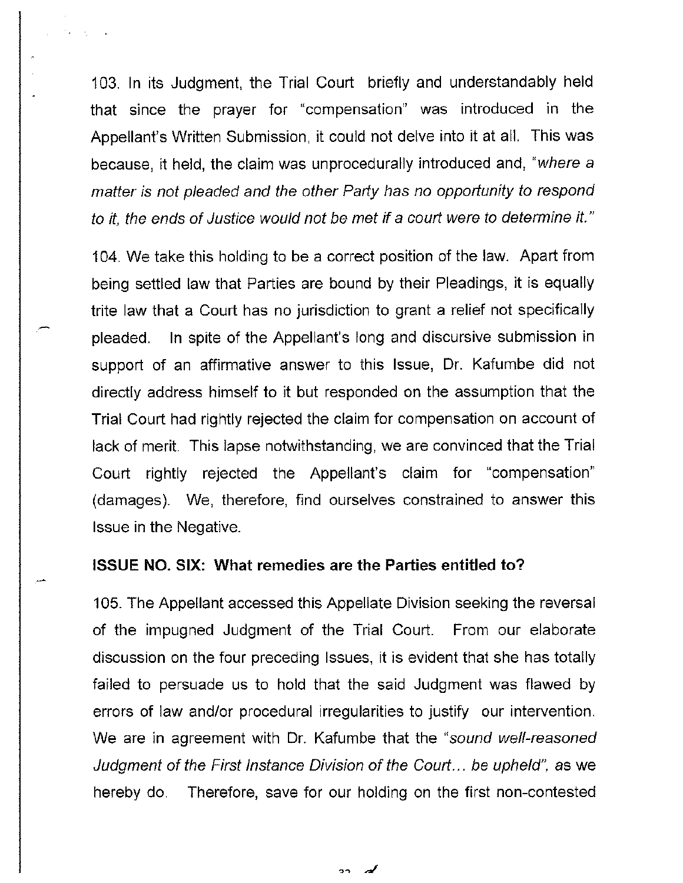103. In its Judgment, the Trial Court briefly and understandably held that since the prayer for "compensation" was introduced in the Appellant's Written Submission, it could not delve into it at all. This was because, it held, the claim was unprocedurally introduced and, "where a matter is not pleaded and the other Party has no opportunity to respond to it, the ends of Justice would not be met if a court were to determine it."

104. We take this holding to be a correct position of the law. Apart from being settled law that Parties are bound by their Pleadings, it is equally trite law that a Court has no jurisdiction to grant a relief not specifically pleaded. In spite of the Appellant's long and discursive submission in support of an affirmative answer to this Issue, Dr. Kafumbe did not directly address himself to it but responded on the assumption that the Trial Court had rightly rejected the claim for compensation on account of lack of merit. This lapse notwithstanding, we are convinced that the Trial Court rightly rejected the Appellant's claim for "compensation" (damages). We, therefore, find ourselves constrained to answer this Issue in the Negative.

#### **ISSUE NO. SIX: What remedies are the Parties entitled to?**

105. The Appellant accessed this Appellate Division seeking the reversal of the impugned Judgment of the Trial Court. From our elaborate discussion on the four preceding Issues, it is evident that she has totally failed to persuade us to hold that the said Judgment was flawed by errors of law and/or procedural irregularities to justify our intervention. We are in agreement with Dr. Kafumbe that the "sound well-reasoned Judgment of the First Instance Division of the Court ... be upheld", as we hereby do. Therefore, save for our holding on the first non-contested

 $\mathbf{a}$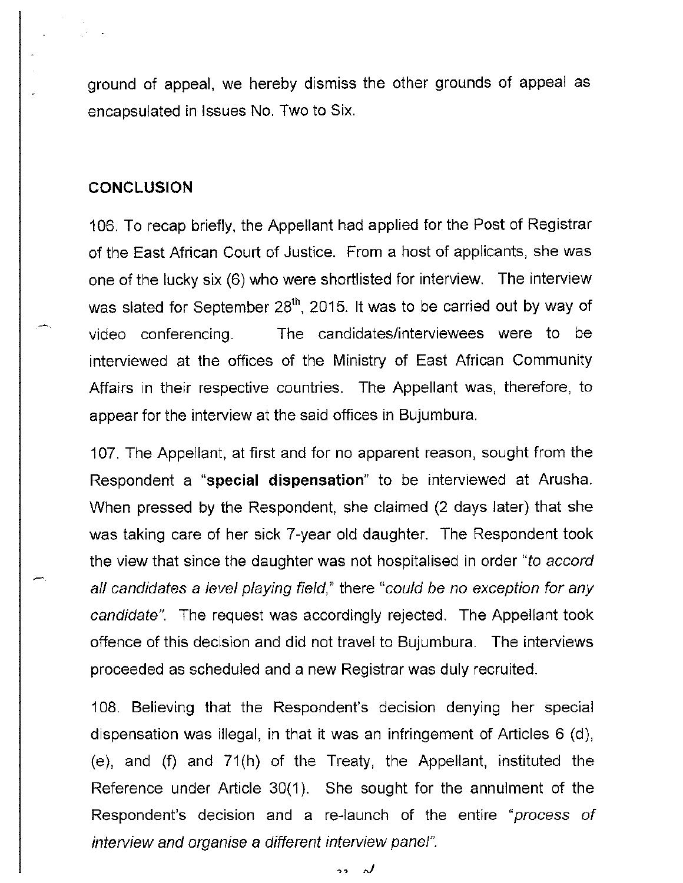ground of appeal, we hereby dismiss the other grounds of appeal as encapsulated in Issues No. Two to Six.

#### **CONCLUSION**

106. To recap briefly, the Appellant had applied for the Post of Registrar of the East African Court of Justice. From a host of applicants, she was one of the lucky six (6) who were shortlisted for interview. The interview was slated for September 28<sup>th</sup>, 2015. It was to be carried out by way of video conferencing. The candidates/interviewees were to be interviewed at the offices of the Ministry of East African Community Affairs in their respective countries. The Appellant was, therefore, to appear for the interview at the said offices in Bujumbura.

107. The Appellant, at first and for no apparent reason, sought from the Respondent a **"special dispensation"** to be interviewed at Arusha. When pressed by the Respondent, she claimed (2 days later) that she was taking care of her sick 7-year old daughter. The Respondent took the view that since the daughter was not hospitalised in order "to accord all candidates a level playing field," there "could be no exception for any candidate". The request was accordingly rejected. The Appellant took offence of this decision and did not travel to Bujumbura. The interviews proceeded as scheduled and a new Registrar was duly recruited.

108. Believing that the Respondent's decision denying her special dispensation was illegal, in that it was an infringement of Articles 6 (d), (e), and (f) and 71(h) of the Treaty, the Appellant, instituted the Reference under Article 30(1). She sought for the annulment of the Respondent's decision and a re-launch of the entire "process of interview and organise a different interview panel".

> $\overline{a}$ r)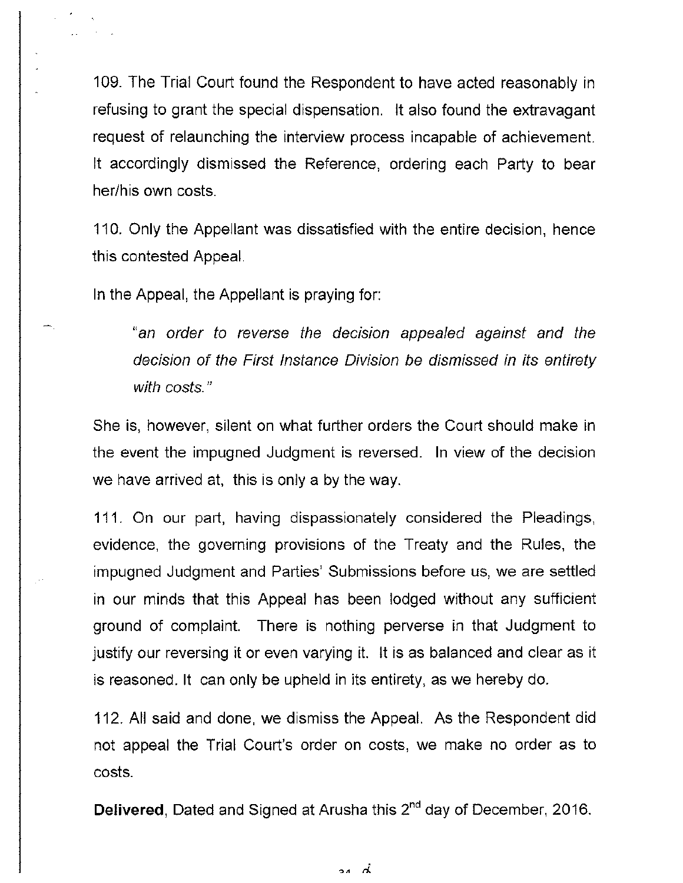109. The Trial Court found the Respondent to have acted reasonably in refusing to grant the special dispensation. It also found the extravagant request of relaunching the interview process incapable of achievement. It accordingly dismissed the Reference, ordering each Party to bear her/his own costs.

110. Only the Appellant was dissatisfied with the entire decision, hence this contested Appeal.

In the Appeal, the Appellant is praying for:

"an order to reverse the decision appealed against and the decision of the First Instance Division be dismissed in its entirety with costs."

She is, however, silent on what further orders the Court should make in the event the impugned Judgment is reversed. In view of the decision we have arrived at, this is only a by the way.

111. On our part, having dispassionately considered the Pleadings, evidence, the governing provisions of the Treaty and the Rules, the impugned Judgment and Parties' Submissions before us, we are settled in our minds that this Appeal has been lodged without any sufficient ground of complaint. There is nothing perverse in that Judgment to justify our reversing it or even varying it. It is as balanced and clear as it is reasoned. It can only be upheld in its entirety, as we hereby do.

112. All said and done, we dismiss the Appeal. As the Respondent did not appeal the Trial Court's order on costs, we make no order as to costs.

**Delivered, Dated and Signed at Arusha this 2<sup>nd</sup> day of December, 2016.** 

لُم يو